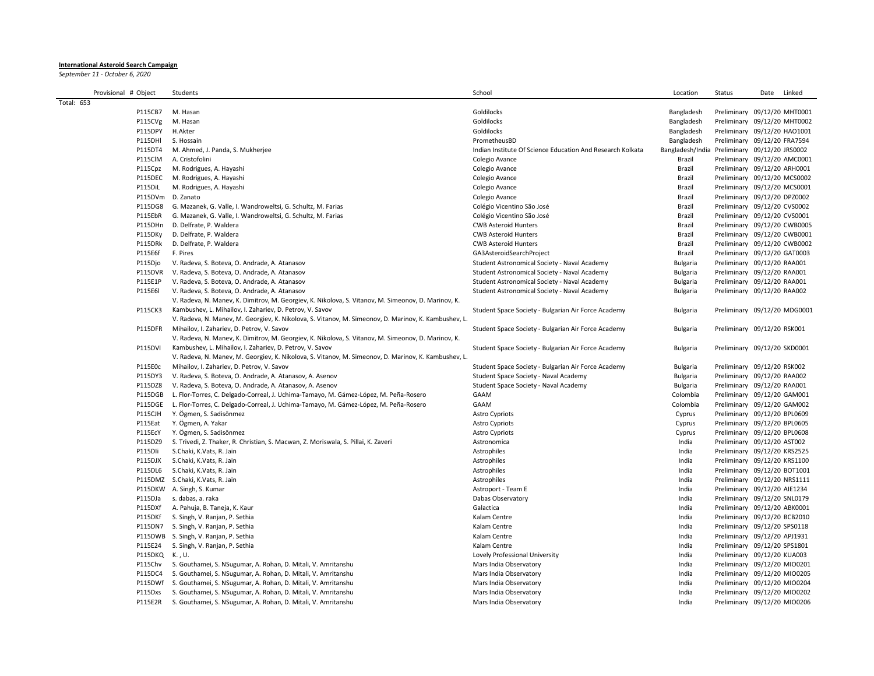## **International Asteroid Search Campaign**

*September 11 - October 6, 2020*

| Provisional # Object |                   | Students                                                                                             | School                                                     | Location                                      | Status                       | Date Linked |
|----------------------|-------------------|------------------------------------------------------------------------------------------------------|------------------------------------------------------------|-----------------------------------------------|------------------------------|-------------|
| Total: 653           |                   |                                                                                                      |                                                            |                                               |                              |             |
|                      | P115CB7           | M. Hasan                                                                                             | Goldilocks                                                 | Bangladesh                                    | Preliminary 09/12/20 MHT0001 |             |
|                      | P115CVg           | M. Hasan                                                                                             | Goldilocks                                                 | Bangladesh                                    | Preliminary 09/12/20 MHT0002 |             |
|                      | P115DPY           | H.Akter                                                                                              | Goldilocks                                                 | Bangladesh                                    | Preliminary 09/12/20 HAO1001 |             |
|                      | P115DHI           | S. Hossain                                                                                           | PrometheusBD                                               | Bangladesh                                    | Preliminary 09/12/20 FRA7594 |             |
|                      | P115DT4           | M. Ahmed, J. Panda, S. Mukherjee                                                                     | Indian Institute Of Science Education And Research Kolkata | Bangladesh/India Preliminary 09/12/20 JRS0002 |                              |             |
|                      | P115ClM           | A. Cristofolini                                                                                      | Colegio Avance                                             | Brazil                                        | Preliminary 09/12/20 AMC0001 |             |
|                      | P115Cpz           | M. Rodrigues, A. Hayashi                                                                             | Colegio Avance                                             | Brazil                                        | Preliminary 09/12/20 ARH0001 |             |
|                      | P115DEC           | M. Rodrigues, A. Hayashi                                                                             | Colegio Avance                                             | Brazil                                        | Preliminary 09/12/20 MCS0002 |             |
|                      | P115DiL           | M. Rodrigues, A. Hayashi                                                                             | Colegio Avance                                             | Brazil                                        | Preliminary 09/12/20 MCS0001 |             |
|                      | P115DVm D. Zanato |                                                                                                      | Colegio Avance                                             | Brazil                                        | Preliminary 09/12/20 DPZ0002 |             |
|                      | P115DG8           | G. Mazanek, G. Valle, I. Wandroweltsi, G. Schultz, M. Farias                                         | Colégio Vicentino São José                                 | Brazil                                        | Preliminary 09/12/20 CVS0002 |             |
|                      | P115EbR           | G. Mazanek, G. Valle, I. Wandroweltsi, G. Schultz, M. Farias                                         | Colégio Vicentino São José                                 | Brazil                                        | Preliminary 09/12/20 CVS0001 |             |
|                      | P115DHn           | D. Delfrate, P. Waldera                                                                              | <b>CWB Asteroid Hunters</b>                                | Brazil                                        | Preliminary 09/12/20 CWB0005 |             |
|                      | P115DKy           | D. Delfrate, P. Waldera                                                                              | <b>CWB Asteroid Hunters</b>                                | Brazil                                        | Preliminary 09/12/20 CWB0001 |             |
|                      | P115DRk           | D. Delfrate, P. Waldera                                                                              | <b>CWB Asteroid Hunters</b>                                | Brazil                                        | Preliminary 09/12/20 CWB0002 |             |
|                      | P115E6f           | F. Pires                                                                                             | GA3AsteroidSearchProject                                   | Brazil                                        | Preliminary 09/12/20 GAT0003 |             |
|                      | P115Djo           | V. Radeva, S. Boteva, O. Andrade, A. Atanasov                                                        | Student Astronomical Society - Naval Academy               | <b>Bulgaria</b>                               | Preliminary 09/12/20 RAA001  |             |
|                      | P115DVR           | V. Radeva, S. Boteva, O. Andrade, A. Atanasov                                                        | Student Astronomical Society - Naval Academy               | <b>Bulgaria</b>                               | Preliminary 09/12/20 RAA001  |             |
|                      | P115E1P           | V. Radeva, S. Boteva, O. Andrade, A. Atanasov                                                        | Student Astronomical Society - Naval Academy               | <b>Bulgaria</b>                               | Preliminary 09/12/20 RAA001  |             |
|                      | P115E6            | V. Radeva, S. Boteva, O. Andrade, A. Atanasov                                                        | Student Astronomical Society - Naval Academy               | <b>Bulgaria</b>                               | Preliminary 09/12/20 RAA002  |             |
|                      |                   | V. Radeva, N. Manev, K. Dimitrov, M. Georgiev, K. Nikolova, S. Vitanov, M. Simeonov, D. Marinov, K.  |                                                            |                                               |                              |             |
|                      | P115CK3           | Kambushev, L. Mihailov, I. Zahariev, D. Petrov, V. Savov                                             | Student Space Society - Bulgarian Air Force Academy        | <b>Bulgaria</b>                               | Preliminary 09/12/20 MDG0001 |             |
|                      |                   | V. Radeva, N. Manev, M. Georgiev, K. Nikolova, S. Vitanov, M. Simeonov, D. Marinov, K. Kambushev, L. |                                                            |                                               |                              |             |
|                      | P115DFR           | Mihailov, I. Zahariev, D. Petrov, V. Savov                                                           | Student Space Society - Bulgarian Air Force Academy        | <b>Bulgaria</b>                               | Preliminary 09/12/20 RSK001  |             |
|                      |                   | V. Radeva, N. Manev, K. Dimitrov, M. Georgiev, K. Nikolova, S. Vitanov, M. Simeonov, D. Marinov, K.  |                                                            |                                               |                              |             |
|                      | P115DVI           | Kambushev, L. Mihailov, I. Zahariev, D. Petrov, V. Savov                                             | Student Space Society - Bulgarian Air Force Academy        | <b>Bulgaria</b>                               | Preliminary 09/12/20 SKD0001 |             |
|                      |                   | V. Radeva, N. Manev, M. Georgiev, K. Nikolova, S. Vitanov, M. Simeonov, D. Marinov, K. Kambushev, L. |                                                            |                                               |                              |             |
|                      | P115E0c           | Mihailov, I. Zahariev, D. Petrov, V. Savov                                                           | Student Space Society - Bulgarian Air Force Academy        | <b>Bulgaria</b>                               | Preliminary 09/12/20 RSK002  |             |
|                      | P115DY3           | V. Radeva, S. Boteva, O. Andrade, A. Atanasov, A. Asenov                                             | Student Space Society - Naval Academy                      | Bulgaria                                      | Preliminary 09/12/20 RAA002  |             |
|                      | P115DZ8           | V. Radeva, S. Boteva, O. Andrade, A. Atanasov, A. Asenov                                             | Student Space Society - Naval Academy                      | Bulgaria                                      | Preliminary 09/12/20 RAA001  |             |
|                      | P115DGB           | L. Flor-Torres, C. Delgado-Correal, J. Uchima-Tamayo, M. Gámez-López, M. Peña-Rosero                 | GAAM                                                       | Colombia                                      | Preliminary 09/12/20 GAM001  |             |
|                      | P115DGE           | L. Flor-Torres, C. Delgado-Correal, J. Uchima-Tamayo, M. Gámez-López, M. Peña-Rosero                 | GAAM                                                       | Colombia                                      | Preliminary 09/12/20 GAM002  |             |
|                      | <b>P115CJH</b>    | Y. Ögmen, S. Sadisönmez                                                                              | <b>Astro Cypriots</b>                                      | Cyprus                                        | Preliminary 09/12/20 BPL0609 |             |
|                      | P115Eat           | Y. Ögmen, A. Yakar                                                                                   | <b>Astro Cypriots</b>                                      | Cyprus                                        | Preliminary 09/12/20 BPL0605 |             |
|                      | P115EcY           | Y. Ögmen, S. Sadisönmez                                                                              | <b>Astro Cypriots</b>                                      | Cyprus                                        | Preliminary 09/12/20 BPL0608 |             |
|                      | P115DZ9           | S. Trivedi, Z. Thaker, R. Christian, S. Macwan, Z. Moriswala, S. Pillai, K. Zaveri                   | Astronomica                                                | India                                         | Preliminary 09/12/20 AST002  |             |
|                      | P115Dli           | S.Chaki, K.Vats, R. Jain                                                                             | Astrophiles                                                | India                                         | Preliminary 09/12/20 KRS2525 |             |
|                      | P115DJX           | S.Chaki, K.Vats, R. Jain                                                                             | Astrophiles                                                | India                                         | Preliminary 09/12/20 KRS1100 |             |
|                      | P115DL6           | S.Chaki, K.Vats, R. Jain                                                                             | Astrophiles                                                | India                                         | Preliminary 09/12/20 BOT1001 |             |
|                      |                   | P115DMZ S.Chaki, K.Vats, R. Jain                                                                     | Astrophiles                                                | India                                         | Preliminary 09/12/20 NRS1111 |             |
|                      |                   | P115DKW A. Singh, S. Kumar                                                                           | Astroport - Team E                                         | India                                         | Preliminary 09/12/20 AIE1234 |             |
|                      | P115DJa           | s. dabas, a. raka                                                                                    | Dabas Observatory                                          | India                                         | Preliminary 09/12/20 SNL0179 |             |
|                      | P115DXf           | A. Pahuja, B. Taneja, K. Kaur                                                                        | Galactica                                                  | India                                         | Preliminary 09/12/20 ABK0001 |             |
|                      | P115DKf           | S. Singh, V. Ranjan, P. Sethia                                                                       | Kalam Centre                                               | India                                         | Preliminary 09/12/20 BCB2010 |             |
|                      |                   | P115DN7 S. Singh, V. Ranjan, P. Sethia                                                               | Kalam Centre                                               | India                                         | Preliminary 09/12/20 SPS0118 |             |
|                      |                   | P115DWB S. Singh, V. Ranjan, P. Sethia                                                               | Kalam Centre                                               | India                                         | Preliminary 09/12/20 APJ1931 |             |
|                      | P115E24           | S. Singh, V. Ranjan, P. Sethia                                                                       | Kalam Centre                                               | India                                         | Preliminary 09/12/20 SPS1801 |             |
|                      | P115DKQ K., U.    |                                                                                                      | Lovely Professional University                             | India                                         | Preliminary 09/12/20 KUA003  |             |
|                      | P115Chv           | S. Gouthamei, S. NSugumar, A. Rohan, D. Mitali, V. Amritanshu                                        | Mars India Observatory                                     | India                                         | Preliminary 09/12/20 MIO0201 |             |
|                      | P115DC4           | S. Gouthamei, S. NSugumar, A. Rohan, D. Mitali, V. Amritanshu                                        | Mars India Observatory                                     | India                                         | Preliminary 09/12/20 MIO0205 |             |
|                      | P115DWf           | S. Gouthamei, S. NSugumar, A. Rohan, D. Mitali, V. Amritanshu                                        | Mars India Observatory                                     | India                                         | Preliminary 09/12/20 MIO0204 |             |
|                      | P115Dxs           | S. Gouthamei, S. NSugumar, A. Rohan, D. Mitali, V. Amritanshu                                        | Mars India Observatory                                     | India                                         | Preliminary 09/12/20 MIO0202 |             |
|                      | P115E2R           | S. Gouthamei, S. NSugumar, A. Rohan, D. Mitali, V. Amritanshu                                        | Mars India Observatory                                     | India                                         | Preliminary 09/12/20 MIO0206 |             |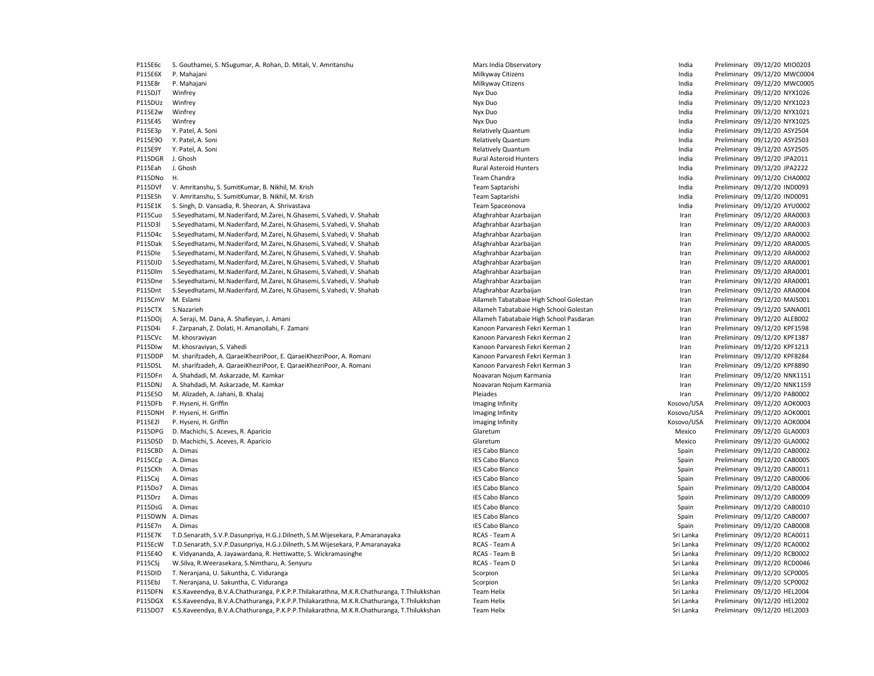P115E6c S. Gouthamei, S. NSugumar, A. Rohan, D. Mitali, V. Amritanshu Mars India Diservatory Mars India Observatory Communication and Mars India Preliminary 09/12/20 MIO0203 P115E6X P. Mahajani 20/12/20 MWC0004 Philkyway Citizens Milkyway Citizens Changes and the Changes of the Preliminary 09/12/20 MWC0004 P115E8r P. Mahaiani 2012/20 MWC0005 Nikway Citizens Milkyway Citizens Nikway Citizens Nikway Citizens Nikway Citizens Nikway Citizens Nikway Citizens Nikway Citizens Nikway Citizens Nikway Citizens Nikway Citizens Nikway C P115DJT Winfrey Nyx Duo India Preliminary 09/12/20 NYX1026 P115DUz Winfrey What are the state of the Nyx Duo Nyx Duo India Preliminary 09/12/20 NYX1023 P115E2w Winfrey **Example 2018** Nyx Duo Nyx Duo Nyx Duo India Preliminary 09/12/20 NYX1021 P115E4S Winfrey **Nyx Duo India Preliminary 09/12/20 NYX1025** Nyx Duo Nyx Duo India Preliminary 09/12/20 NYX1025 P115E3p Y. Patel, A. Soni **New York Contract A. Soni Relatively Quantum** Relatively Quantum India Preliminary 09/12/20 ASY2504 P115E9O Y. Patel. A. Soni **New York Contract Active** Material Preliminary Contract Preliminary 09/12/20 ASY2503 P115E9Y Y. Patel, A. Soni Sanch Company of Material Association and Relatively Quantum Company and the company of the company of the company of the company of the company of the company of the company of the company of the P115DGR J. Ghosh Rural Asteroid Hunters India Preliminary 09/12/20 JPA2011 P115Eah J. Ghosh Rural Asteroid Hunters India Preliminary 09/12/20 JPA2222 P115DNo H. Team Chandra India Preliminary 09/12/20 CHA0002 P115DVf V. Amritanshu, S. SumitKumar, B. Nikhil, M. Krish Samparov Chronic Comparishi India Preliminary 09/12/20 IND0093 P115E5h V. Amritanshu, S. SumitKumar, B. Nikhil, M. Krish Team Saptarishi India Preliminary 09/12/20 IND0091 P115E1K S. Singh, D. Vansadia, R. Sheoran, A. Shrivastava Shrivastava Team Spaceonova Team Spaceonova Team Spaceonova Team Spaceonova Team Spaceonova Team Spaceonova Team Spaceonova Team Spaceonova Team Spaceonova Team Spa P115Cuo S.Seyedhatami, M.Naderifard, M.Zarei, N.Ghasemi, S.Vahedi, V. Shahab American Preliminary and Afaghrahbar Azarbaijan Iran Preliminary 09/12/20 ARA0003 P115D3l S.Seyedhatami, M.Naderifard, M.Zarei, N.Ghasemi, S.Vahedi, V. Shahab American Preliminary and Afaghrahbar Azarbaijan Iran Preliminary 09/12/20 ARA0003 P115D4c S.Seyedhatami, M.Naderifard, M.Zarei, N.Ghasemi, S.Vahedi, V. Shahab Afaghrahbar Azarbaijan Iran Preliminary 09/12/20 ARA0002 P115Dak S.Seyedhatami, M.Naderifard, M.Zarei, N.Ghasemi, S.Vahedi, V. Shahab American Preliminary aarbaijan Preliminary 09/12/20 ARA0005 P115Dle S.Seyedhatami, M.Naderifard, M.Zarei, N.Ghasemi, S.Vahedi, V. Shahab American Preliminary and Afaghrahbar Azarbaijan Iran Preliminary 09/12/20 ARA0002 P115DJD S.Seyedhatami, M.Naderifard, M.Zarei, N.Ghasemi, S.Vahedi, V. Shahab American Preliminary and Afaghrahbar Azarbaijan Iran Preliminary 09/12/20 ARA0001 P115Dlm S.Seyedhatami, M.Naderifard, M.Zarei, N.Ghasemi, S.Vahedi, V. Shahab American Preliminary and Afaghrahbar Azarbaijan Iran Preliminary 09/12/20 ARA0001 P115Dne S.Seyedhatami, M.Naderifard, M.Zarei, N.Ghasemi, S.Vahedi, V. Shahab American Preliminary and Afaghrahbar Azarbaijan Iran Preliminary 09/12/20 ARA0001 P115Dnt S.Sevedhatami, M.Naderifard, M.Zarei, N.Ghasemi, S.Vahedi, V. Shahab American Preliminary and Afaghrahbar Azarbaijan Preliminary Preliminary 09/12/20 ARA0004 P115CmV M. Eslami 2012/20 MAIS001 MAIS001 Control and Tabatabaie High School Golestan Iran Preliminary 09/12/20 MAIS001 P115CTX S.Nazarieh **Allameh Tabatabaie High School Golestan** Iran Preliminary 09/12/20 SANA001 P115DOj A. Seraji, M. Dana, A. Shafieyan, J. Amani 
Allameh Tabatabaie High School Pasdaran Iran Iran Preliminary 09/12/20 ALEB002 P115D4i F. Zarpanah, Z. Dolati, H. Amanollahi, F. Zamani Kamoon Parvaresh Fekri Kerman Preliminary and Treliminary and Preliminary 09/12/20 KPF1598 P115CVc M. khosraviyan Maxweyn Maxweyn Chanoon Parvaresh Fekri Kerman 2 Iran Preliminary 09/12/20 KPF1387 P115DIw M. khosraviyan, S. Vahedi Namesia Kanoon Parvaresh Fekri Kerman 2 Iran Preliminary 09/12/20 KPF1213 P115DDP M. sharifzadeh, A. QaraeiKhezriPoor, E. QaraeiKhezriPoor, A. Romani **Kanoon Parvaresh Fekri Kerman 3** Iran Preliminary 09/12/20 KPF8284 P115DSL M. sharifzadeh, A. QaraeiKhezriPoor, E. QaraeiKhezriPoor, A. Romani **Natala Amerikan Amerikan Amerikan Amerikan** Kanoon Parvaresh Fekri Kerman 3 Iran Preliminary 09/12/20 KPF8890 P115DFn A. Shahdadi, M. Askarzade, M. Kamkar Nowarth Noavaran Noium Karmania Noavaran Nojum Karmania Noavaran Nojum Karmania Noavaran Noium Karmania Noavaran Noium Karmania Noavaran Noium Karmania Nobel and Preliminary 09/ P115DNJ A. Shahdadi, M. Askarzade, M. Kamkar Namar Nobel and Demokrata Nogum Karmania Nojum Karmania Nobel and Manus Armania Preliminary 09/12/20 NNK1159 P115E5O M. Alizadeh, A. Jahani, B. Khalaj **Preliminary 09/12/20 PAB0002** Pleiades Pleiades **Pleiades** Preliminary 09/12/20 PAB0002 P115DFb P. Hyseni, H. Griffin Imaging Infinity Kosovo/USA Preliminary 09/12/20 AOK0003 P115DNH P. Hyseni, H. Griffin **Imaging Infinity** Imaging Infinity The Most of the Cosovo/USA Preliminary 09/12/20 AOK0001 P115E2l P. Hyseni, H. Griffin **Imaging Infinity** Imaging Infinity The Maging Infinity Cosovo/USA Preliminary 09/12/20 AOK0004 P115DPG D. Machichi, S. Aceves, R. Aparicio entropressional control de control de Glaretum Mexico Preliminary 09/12/20 GLA0003 P115DSD D. Machichi, S. Aceves, R. Aparicio entropression and the second of the Glaretum Mexico Preliminary 09/12/20 GLA0002 P115CBD A. Dimas IES Cabo Blanco Spain Preliminary 09/12/20 CAB0002 P115CCp A. Dimas New Spain Preliminary 09/12/20 CAB0005 (Particle and Spain Preliminary 09/12/20 CAB0005 erang Palace and The Cabo Blanco and the Cabo Blanco of the Scale Spain Spain Preliminary 09/12/20 CAB0011 Preliminary 09/12/20 CAB0011<br>Preliminary 09/12/20 CAB0006 Preliminary 09/12/20 CAB0006 Preliminary 09/12/20 CAB0006 P115Cxj A. Dimas **IES Cabo Blanco IES Cabo Blanco IES Cabo Blanco** Spain Preliminary 09/12/20 CAB0006 P115Do7 A. Dimas external contract to the state of the SC and the SC and the SC and the SC and the SC and the SC and the SC and the SC and the SC and the SC and the SC and the SC and the SC and the SC and the SC and the SC P115Drz A. Dimas IES Cabo Blanco Spain Preliminary 09/12/20 CAB0009 P115DsG A. Dimas **IES Cabo Blanco IES Cabo Blanco IES Cabo Blanco** Spain Preliminary 09/12/20 CAB0010 P115DWN A. Dimas **IES Cabo Blanco IES Cabo Blanco IES Cabo Blanco** Spain Preliminary 09/12/20 CAB0007 P115E7n A. Dimas Paraminary 09/12/20 CAB0008<br>P115E7K T.D.Senarath.S.V.P.Dasunoriva. H.G.I.Dilneth.S.M.Wijesekara. P.Amaranavaka RCAS Team A RCAS - Team A CAS Team A P115E7K T.D.Senarath, S.V.P.Dasunpriya, H.G.J.Dilneth, S.M.Wijesekara, P.Amaranayaka RCAS - Team A Sri Lanka Ream A Sri Lanka Preliminary 09/12/20 RCA0011 P115EcW T.D.Senarath, S.V.P.Dasunpriya, H.G.J.Dilneth, S.M.Wijesekara, P.Amaranayaka RCAS - Team A RCAS - Team A Sri Lanka Preliminary 09/12/20 RCA0002 P115E4O K. Vidyananda, A. Jayawardana, R. Hettiwatte, S. Wickramasinghe Ream B Sanda Basic RCAS - Team B Sri Lamburation Communication of the Sri Lanka Preliminary 09/12/20 RCB0002<br>Path Sand Sri Lanka Preliminary 09/12/20 P115CSj W.Silva, R.Weerasekara, S.Nimtharu, A. Senyuru Ram Sri Lanka Preliminary 09/12/20 RCD0046 P115DID T. Neranjana, U. Sakuntha, C. Viduranga Scorpion Scorpion Scorpion Scorpion Scorpion Sri Lanka Preliminary 09/12/20 SCP0005 P115EbJ T. Neranjana, U. Sakuntha, C. Viduranga Scorpion Scorpion Scorpion Scorpion Scorpion Sri Lanka Preliminary 09/12/20 SCP0002 P115DFN K.S.Kaveendya, B.V.A.Chathuranga, P.K.P.P.Thilakarathna, M.K.R.Chathuranga, T.Thilukkshan Team Helix Sri Lanka Sri Lanka Preliminary 09/12/20 HEL2004 P115DGX K.S.Kaveendya, B.V.A.Chathuranga, P.K.P.P.Thilakarathna, M.K.R.Chathuranga, T.Thilukkshan Team Helix Sri Lanka Sri Lanka Preliminary 09/12/20 HEL2002 P115DO7 K.S.Kaveendya, B.V.A.Chathuranga, P.K.P.P.Thilakarathna, M.K.R.Chathuranga, T.Thilukkshan Team Helix Sri Lanka Preliminary 09/12/20 HEL2003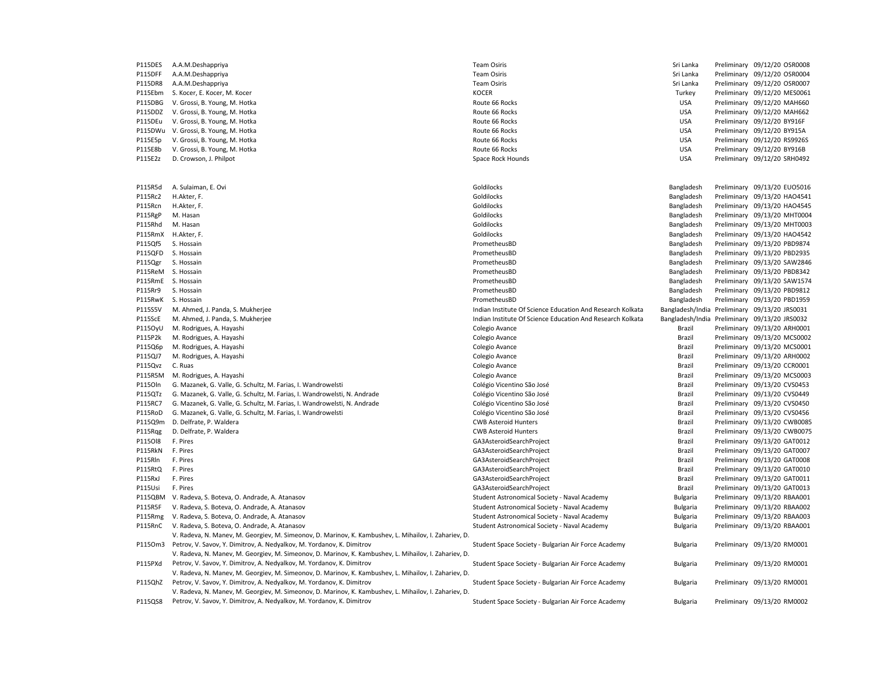| P115DES | A.A.M.Deshappriya                                                                                                                                                              | <b>Team Osiris</b>                                         | Sri Lanka       | Preliminary 09/12/20 OSR0008                  |
|---------|--------------------------------------------------------------------------------------------------------------------------------------------------------------------------------|------------------------------------------------------------|-----------------|-----------------------------------------------|
| P115DFF | A.A.M.Deshappriya                                                                                                                                                              | <b>Team Osiris</b>                                         | Sri Lanka       | Preliminary 09/12/20 OSR0004                  |
| P115DR8 | A.A.M.Deshappriya                                                                                                                                                              | <b>Team Osiris</b>                                         | Sri Lanka       | Preliminary 09/12/20 OSR0007                  |
| P115Ebm | S. Kocer, E. Kocer, M. Kocer                                                                                                                                                   | <b>KOCER</b>                                               | Turkey          | Preliminary 09/12/20 MES0061                  |
| P115DBG | V. Grossi, B. Young, M. Hotka                                                                                                                                                  | Route 66 Rocks                                             | <b>USA</b>      | Preliminary 09/12/20 MAH660                   |
| P115DDZ | V. Grossi, B. Young, M. Hotka                                                                                                                                                  | Route 66 Rocks                                             | <b>USA</b>      | Preliminary 09/12/20 MAH662                   |
| P115DEu | V. Grossi, B. Young, M. Hotka                                                                                                                                                  | Route 66 Rocks                                             | <b>USA</b>      | Preliminary 09/12/20 BY916F                   |
| P115DWu | V. Grossi, B. Young, M. Hotka                                                                                                                                                  | Route 66 Rocks                                             | <b>USA</b>      | Preliminary 09/12/20 BY915A                   |
| P115E5p | V. Grossi, B. Young, M. Hotka                                                                                                                                                  | Route 66 Rocks                                             | <b>USA</b>      | Preliminary 09/12/20 RS9926S                  |
| P115E8b | V. Grossi, B. Young, M. Hotka                                                                                                                                                  | Route 66 Rocks                                             | <b>USA</b>      | Preliminary 09/12/20 BY916B                   |
| P115E2z | D. Crowson, J. Philpot                                                                                                                                                         | Space Rock Hounds                                          | <b>USA</b>      | Preliminary 09/12/20 SRH0492                  |
|         |                                                                                                                                                                                |                                                            |                 |                                               |
| P115R5d | A. Sulaiman, E. Ovi                                                                                                                                                            | Goldilocks                                                 | Bangladesh      | Preliminary 09/13/20 EUO5016                  |
| P115Rc2 | H.Akter, F.                                                                                                                                                                    | Goldilocks                                                 | Bangladesh      | Preliminary 09/13/20 HAO4541                  |
| P115Rcn | H.Akter, F.                                                                                                                                                                    | Goldilocks                                                 | Bangladesh      | Preliminary 09/13/20 HAO4545                  |
| P115RgP | M. Hasan                                                                                                                                                                       | Goldilocks                                                 | Bangladesh      | Preliminary 09/13/20 MHT0004                  |
| P115Rhd | M. Hasan                                                                                                                                                                       | Goldilocks                                                 | Bangladesh      | Preliminary 09/13/20 MHT0003                  |
| P115RmX | H.Akter, F.                                                                                                                                                                    | Goldilocks                                                 | Bangladesh      | Preliminary 09/13/20 HAO4542                  |
| P115Qf5 | S. Hossain                                                                                                                                                                     | PrometheusBD                                               | Bangladesh      | Preliminary 09/13/20 PBD9874                  |
| P115QFD | S. Hossain                                                                                                                                                                     | PrometheusBD                                               | Bangladesh      | Preliminary 09/13/20 PBD2935                  |
| P115Qgr | S. Hossain                                                                                                                                                                     | PrometheusBD                                               | Bangladesh      | Preliminary 09/13/20 SAW2846                  |
| P115ReM | S. Hossain                                                                                                                                                                     | PrometheusBD                                               | Bangladesh      | Preliminary 09/13/20 PBD8342                  |
| P115RmE | S. Hossain                                                                                                                                                                     | PrometheusBD                                               | Bangladesh      | Preliminary 09/13/20 SAW1574                  |
| P115Rr9 | S. Hossain                                                                                                                                                                     | PrometheusBD                                               | Bangladesh      | Preliminary 09/13/20 PBD9812                  |
| P115RwK | S. Hossain                                                                                                                                                                     | PrometheusBD                                               | Bangladesh      | Preliminary 09/13/20 PBD1959                  |
| P115S5V | M. Ahmed, J. Panda, S. Mukherjee                                                                                                                                               | Indian Institute Of Science Education And Research Kolkata |                 | Bangladesh/India Preliminary 09/13/20 JRS0031 |
| P115ScE | M. Ahmed, J. Panda, S. Mukherjee                                                                                                                                               | Indian Institute Of Science Education And Research Kolkata |                 | Bangladesh/India Preliminary 09/13/20 JRS0032 |
| P1150yU | M. Rodrigues, A. Hayashi                                                                                                                                                       | Colegio Avance                                             | Brazil          | Preliminary 09/13/20 ARH0001                  |
| P115P2k | M. Rodrigues, A. Hayashi                                                                                                                                                       | Colegio Avance                                             | Brazil          | Preliminary 09/13/20 MCS0002                  |
| P115Q6p | M. Rodrigues, A. Hayashi                                                                                                                                                       | Colegio Avance                                             | Brazil          | Preliminary 09/13/20 MCS0001                  |
| P115QJ7 | M. Rodrigues, A. Hayashi                                                                                                                                                       | Colegio Avance                                             | Brazil          | Preliminary 09/13/20 ARH0002                  |
| P115Qvz | C. Ruas                                                                                                                                                                        | Colegio Avance                                             | Brazil          | Preliminary 09/13/20 CCR0001                  |
| P115R5M | M. Rodrigues, A. Hayashi                                                                                                                                                       | Colegio Avance                                             | Brazil          | Preliminary 09/13/20 MCS0003                  |
| P1150ln | G. Mazanek, G. Valle, G. Schultz, M. Farias, I. Wandrowelsti                                                                                                                   | Colégio Vicentino São José                                 | Brazil          | Preliminary 09/13/20 CVS0453                  |
| P115QTz | G. Mazanek, G. Valle, G. Schultz, M. Farias, I. Wandrowelsti, N. Andrade                                                                                                       | Colégio Vicentino São José                                 | Brazil          | Preliminary 09/13/20 CVS0449                  |
| P115RC7 | G. Mazanek, G. Valle, G. Schultz, M. Farias, I. Wandrowelsti, N. Andrade                                                                                                       | Colégio Vicentino São José                                 | Brazil          | Preliminary 09/13/20 CVS0450                  |
| P115RoD | G. Mazanek, G. Valle, G. Schultz, M. Farias, I. Wandrowelsti                                                                                                                   | Colégio Vicentino São José                                 | Brazil          | Preliminary 09/13/20 CVS0456                  |
| P115Q9m | D. Delfrate, P. Waldera                                                                                                                                                        | <b>CWB Asteroid Hunters</b>                                | Brazil          | Preliminary 09/13/20 CWB0085                  |
| P115Rqg | D. Delfrate, P. Waldera                                                                                                                                                        | <b>CWB Asteroid Hunters</b>                                | Brazil          | Preliminary 09/13/20 CWB0075                  |
| P115018 | F. Pires                                                                                                                                                                       | GA3AsteroidSearchProject                                   | Brazil          | Preliminary 09/13/20 GAT0012                  |
| P115RkN | F. Pires                                                                                                                                                                       | GA3AsteroidSearchProject                                   | Brazil          | Preliminary 09/13/20 GAT0007                  |
| P115Rln | F. Pires                                                                                                                                                                       | GA3AsteroidSearchProject                                   | Brazil          | Preliminary 09/13/20 GAT0008                  |
| P115RtQ | F. Pires                                                                                                                                                                       | GA3AsteroidSearchProject                                   | Brazil          | Preliminary 09/13/20 GAT0010                  |
| P115RxJ | F. Pires                                                                                                                                                                       | GA3AsteroidSearchProject                                   | Brazil          | Preliminary 09/13/20 GAT0011                  |
| P115Usi | F. Pires                                                                                                                                                                       | GA3AsteroidSearchProject                                   | Brazil          | Preliminary 09/13/20 GAT0013                  |
| P115QBM | V. Radeva, S. Boteva, O. Andrade, A. Atanasov                                                                                                                                  | Student Astronomical Society - Naval Academy               | <b>Bulgaria</b> | Preliminary 09/13/20 RBAA001                  |
| P115R5F | V. Radeva, S. Boteva, O. Andrade, A. Atanasov                                                                                                                                  | Student Astronomical Society - Naval Academy               | <b>Bulgaria</b> | Preliminary 09/13/20 RBAA002                  |
| P115Rmg | V. Radeva, S. Boteva, O. Andrade, A. Atanasov                                                                                                                                  | Student Astronomical Society - Naval Academy               | <b>Bulgaria</b> | Preliminary 09/13/20 RBAA003                  |
| P115RnC | V. Radeva, S. Boteva, O. Andrade, A. Atanasov                                                                                                                                  | Student Astronomical Society - Naval Academy               | <b>Bulgaria</b> | Preliminary 09/13/20 RBAA001                  |
|         |                                                                                                                                                                                |                                                            |                 |                                               |
|         | V. Radeva, N. Manev, M. Georgiev, M. Simeonov, D. Marinov, K. Kambushev, L. Mihailov, I. Zahariev, D.<br>Petrov, V. Savov, Y. Dimitrov, A. Nedyalkov, M. Yordanov, K. Dimitrov |                                                            |                 |                                               |
| P1150m3 |                                                                                                                                                                                | Student Space Society - Bulgarian Air Force Academy        | <b>Bulgaria</b> | Preliminary 09/13/20 RM0001                   |
|         | V. Radeva, N. Manev, M. Georgiev, M. Simeonov, D. Marinov, K. Kambushev, L. Mihailov, I. Zahariev, D.                                                                          |                                                            |                 |                                               |
| P115PXd | Petrov, V. Savov, Y. Dimitrov, A. Nedyalkov, M. Yordanov, K. Dimitrov                                                                                                          | Student Space Society - Bulgarian Air Force Academy        | <b>Bulgaria</b> | Preliminary 09/13/20 RM0001                   |
|         | V. Radeva, N. Manev, M. Georgiev, M. Simeonov, D. Marinov, K. Kambushev, L. Mihailov, I. Zahariev, D.                                                                          |                                                            |                 |                                               |
| P115QhZ | Petrov, V. Savov, Y. Dimitrov, A. Nedyalkov, M. Yordanov, K. Dimitrov                                                                                                          | Student Space Society - Bulgarian Air Force Academy        | <b>Bulgaria</b> | Preliminary 09/13/20 RM0001                   |
|         | V. Radeva, N. Manev, M. Georgiev, M. Simeonov, D. Marinov, K. Kambushev, L. Mihailov, I. Zahariev, D.                                                                          |                                                            |                 |                                               |
| P115QS8 | Petrov, V. Savov, Y. Dimitrov, A. Nedyalkov, M. Yordanov, K. Dimitrov                                                                                                          | Student Space Society - Bulgarian Air Force Academy        | <b>Bulgaria</b> | Preliminary 09/13/20 RM0002                   |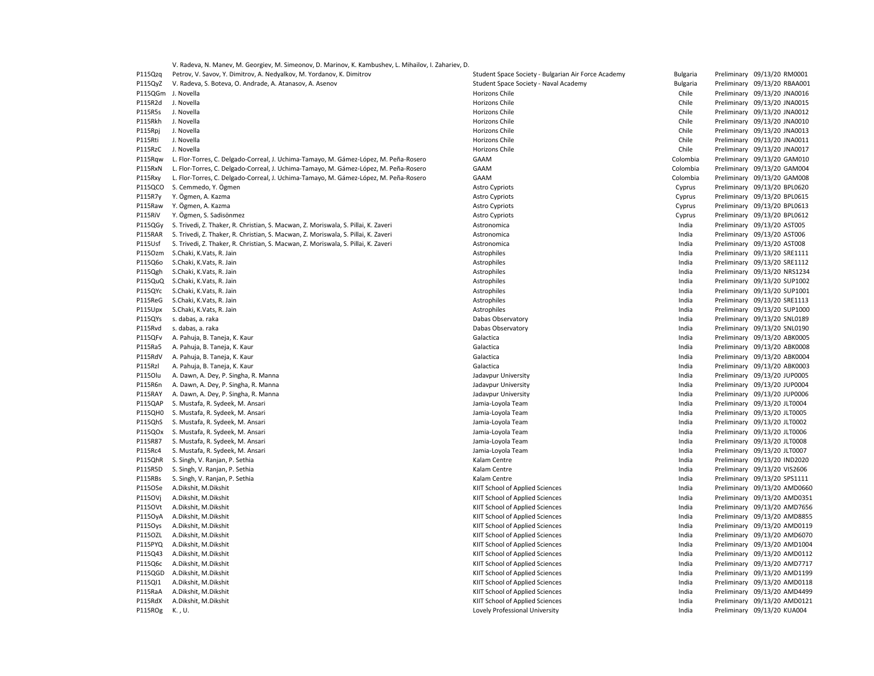V. Radeva, N. Manev, M. Georgiev, M. Simeonov, D. Marinov, K. Kambushev, L. Mihailov, I. Zahariev, D.

| P115Qzq        | Petrov, V. Savov, Y. Dimitrov, A. Nedyalkov, M. Yordanov, K. Dimitrov                | Student Space Society - Bulgarian Air Force Academy | Bulgaria | Preliminary 09/13/20 RM0001  |
|----------------|--------------------------------------------------------------------------------------|-----------------------------------------------------|----------|------------------------------|
| P115QyZ        | V. Radeva, S. Boteva, O. Andrade, A. Atanasov, A. Asenov                             | Student Space Society - Naval Academy               | Bulgaria | Preliminary 09/13/20 RBAA001 |
| P115QGm        | J. Novella                                                                           | Horizons Chile                                      | Chile    | Preliminary 09/13/20 JNA0016 |
| P115R2d        | J. Novella                                                                           | Horizons Chile                                      | Chile    | Preliminary 09/13/20 JNA0015 |
| P115R5s        | J. Novella                                                                           | Horizons Chile                                      | Chile    | Preliminary 09/13/20 JNA0012 |
| P115Rkh        | J. Novella                                                                           | Horizons Chile                                      | Chile    | Preliminary 09/13/20 JNA0010 |
| P115Rpj        | J. Novella                                                                           | Horizons Chile                                      | Chile    | Preliminary 09/13/20 JNA0013 |
| P115Rti        | J. Novella                                                                           | Horizons Chile                                      | Chile    | Preliminary 09/13/20 JNA0011 |
| P115RzC        | J. Novella                                                                           | Horizons Chile                                      | Chile    | Preliminary 09/13/20 JNA0017 |
| P115Rqw        | L. Flor-Torres, C. Delgado-Correal, J. Uchima-Tamayo, M. Gámez-López, M. Peña-Rosero | GAAM                                                | Colombia | Preliminary 09/13/20 GAM010  |
| P115RxN        | L. Flor-Torres, C. Delgado-Correal, J. Uchima-Tamayo, M. Gámez-López, M. Peña-Rosero | GAAM                                                | Colombia | Preliminary 09/13/20 GAM004  |
| P115Rxy        | L. Flor-Torres, C. Delgado-Correal, J. Uchima-Tamayo, M. Gámez-López, M. Peña-Rosero | GAAM                                                | Colombia | Preliminary 09/13/20 GAM008  |
| P115QCO        | S. Cemmedo, Y. Ögmen                                                                 | <b>Astro Cypriots</b>                               | Cyprus   | Preliminary 09/13/20 BPL0620 |
| P115R7y        | Y. Ögmen, A. Kazma                                                                   | <b>Astro Cypriots</b>                               | Cyprus   | Preliminary 09/13/20 BPL0615 |
| P115Raw        | Y. Ögmen, A. Kazma                                                                   | <b>Astro Cypriots</b>                               | Cyprus   | Preliminary 09/13/20 BPL0613 |
| P115RiV        | Y. Ögmen, S. Sadisönmez                                                              | <b>Astro Cypriots</b>                               | Cyprus   | Preliminary 09/13/20 BPL0612 |
| P115QGy        | S. Trivedi, Z. Thaker, R. Christian, S. Macwan, Z. Moriswala, S. Pillai, K. Zaveri   | Astronomica                                         | India    | Preliminary 09/13/20 AST005  |
| P115RAR        | S. Trivedi, Z. Thaker, R. Christian, S. Macwan, Z. Moriswala, S. Pillai, K. Zaveri   | Astronomica                                         | India    | Preliminary 09/13/20 AST006  |
| P115Usf        | S. Trivedi, Z. Thaker, R. Christian, S. Macwan, Z. Moriswala, S. Pillai, K. Zaveri   | Astronomica                                         | India    | Preliminary 09/13/20 AST008  |
| P1150zm        | S.Chaki, K.Vats, R. Jain                                                             | Astrophiles                                         | India    | Preliminary 09/13/20 SRE1111 |
| P115Q6o        | S.Chaki, K.Vats, R. Jain                                                             | Astrophiles                                         | India    | Preliminary 09/13/20 SRE1112 |
| P115Qgh        | S.Chaki, K.Vats, R. Jain                                                             | Astrophiles                                         | India    | Preliminary 09/13/20 NRS1234 |
| P115QuQ        | S.Chaki, K.Vats, R. Jain                                                             | Astrophiles                                         | India    | Preliminary 09/13/20 SUP1002 |
| P115QYc        | S.Chaki, K.Vats, R. Jain                                                             | Astrophiles                                         | India    | Preliminary 09/13/20 SUP1001 |
| P115ReG        | S.Chaki, K.Vats, R. Jain                                                             | Astrophiles                                         | India    | Preliminary 09/13/20 SRE1113 |
| P115Upx        | S.Chaki, K.Vats, R. Jain                                                             | Astrophiles                                         | India    | Preliminary 09/13/20 SUP1000 |
| P115QYs        | s. dabas, a. raka                                                                    | Dabas Observatory                                   | India    | Preliminary 09/13/20 SNL0189 |
| P115Rvd        | s. dabas, a. raka                                                                    | Dabas Observatory                                   | India    | Preliminary 09/13/20 SNL0190 |
| P115QFv        | A. Pahuja, B. Taneja, K. Kaur                                                        | Galactica                                           | India    | Preliminary 09/13/20 ABK0005 |
| P115Ra5        | A. Pahuja, B. Taneja, K. Kaur                                                        | Galactica                                           | India    | Preliminary 09/13/20 ABK0008 |
| P115RdV        | A. Pahuja, B. Taneja, K. Kaur                                                        | Galactica                                           | India    | Preliminary 09/13/20 ABK0004 |
| P115Rzl        | A. Pahuja, B. Taneja, K. Kaur                                                        | Galactica                                           | India    | Preliminary 09/13/20 ABK0003 |
| P1150lu        | A. Dawn, A. Dey, P. Singha, R. Manna                                                 | Jadavpur University                                 | India    | Preliminary 09/13/20 JUP0005 |
| P115R6n        | A. Dawn, A. Dey, P. Singha, R. Manna                                                 | Jadavpur University                                 | India    | Preliminary 09/13/20 JUP0004 |
| P115RAY        | A. Dawn, A. Dey, P. Singha, R. Manna                                                 | Jadavpur University                                 | India    | Preliminary 09/13/20 JUP0006 |
| P115QAP        | S. Mustafa, R. Sydeek, M. Ansari                                                     | Jamia-Loyola Team                                   | India    | Preliminary 09/13/20 JLT0004 |
| P115QH0        | S. Mustafa, R. Sydeek, M. Ansari                                                     | Jamia-Loyola Team                                   | India    | Preliminary 09/13/20 JLT0005 |
| P115QhS        | S. Mustafa, R. Sydeek, M. Ansari                                                     | Jamia-Loyola Team                                   | India    | Preliminary 09/13/20 JLT0002 |
| P115Q0x        | S. Mustafa, R. Sydeek, M. Ansari                                                     | Jamia-Loyola Team                                   | India    | Preliminary 09/13/20 JLT0006 |
| P115R87        | S. Mustafa, R. Sydeek, M. Ansari                                                     | Jamia-Loyola Team                                   | India    | Preliminary 09/13/20 JLT0008 |
| P115Rc4        | S. Mustafa, R. Sydeek, M. Ansari                                                     | Jamia-Loyola Team                                   | India    | Preliminary 09/13/20 JLT0007 |
| P115QhR        | S. Singh, V. Ranjan, P. Sethia                                                       | Kalam Centre                                        | India    | Preliminary 09/13/20 IND2020 |
| P115R5D        | S. Singh, V. Ranjan, P. Sethia                                                       | Kalam Centre                                        | India    | Preliminary 09/13/20 VIS2606 |
| P115RBs        | S. Singh, V. Ranjan, P. Sethia                                                       | Kalam Centre                                        | India    | Preliminary 09/13/20 SPS1111 |
| P115OSe        | A.Dikshit, M.Dikshit                                                                 | KIIT School of Applied Sciences                     | India    | Preliminary 09/13/20 AMD0660 |
| P1150Vj        | A.Dikshit, M.Dikshit                                                                 | KIIT School of Applied Sciences                     | India    | Preliminary 09/13/20 AMD0351 |
| P1150Vt        | A.Dikshit, M.Dikshit                                                                 | KIIT School of Applied Sciences                     | India    | Preliminary 09/13/20 AMD7656 |
| P115OyA        | A.Dikshit, M.Dikshit                                                                 | KIIT School of Applied Sciences                     | India    | Preliminary 09/13/20 AMD8855 |
| P115Oys        | A.Dikshit, M.Dikshit                                                                 | KIIT School of Applied Sciences                     | India    | Preliminary 09/13/20 AMD0119 |
| <b>P115OZL</b> | A.Dikshit, M.Dikshit                                                                 | KIIT School of Applied Sciences                     | India    | Preliminary 09/13/20 AMD6070 |
| P115PYQ        | A.Dikshit, M.Dikshit                                                                 | KIIT School of Applied Sciences                     | India    | Preliminary 09/13/20 AMD1004 |
| P115Q43        | A.Dikshit, M.Dikshit                                                                 | KIIT School of Applied Sciences                     | India    | Preliminary 09/13/20 AMD0112 |
| P115Q6c        | A.Dikshit, M.Dikshit                                                                 | KIIT School of Applied Sciences                     | India    | Preliminary 09/13/20 AMD7717 |
| P115QGD        | A.Dikshit, M.Dikshit                                                                 | KIIT School of Applied Sciences                     | India    | Preliminary 09/13/20 AMD1199 |
| P115QI1        | A.Dikshit, M.Dikshit                                                                 | KIIT School of Applied Sciences                     | India    | Preliminary 09/13/20 AMD0118 |
| P115RaA        | A.Dikshit, M.Dikshit                                                                 | KIIT School of Applied Sciences                     | India    | Preliminary 09/13/20 AMD4499 |
| P115RdX        | A.Dikshit, M.Dikshit                                                                 | KIIT School of Applied Sciences                     | India    | Preliminary 09/13/20 AMD0121 |
| P115ROg        | K., U.                                                                               | Lovely Professional University                      | India    | Preliminary 09/13/20 KUA004  |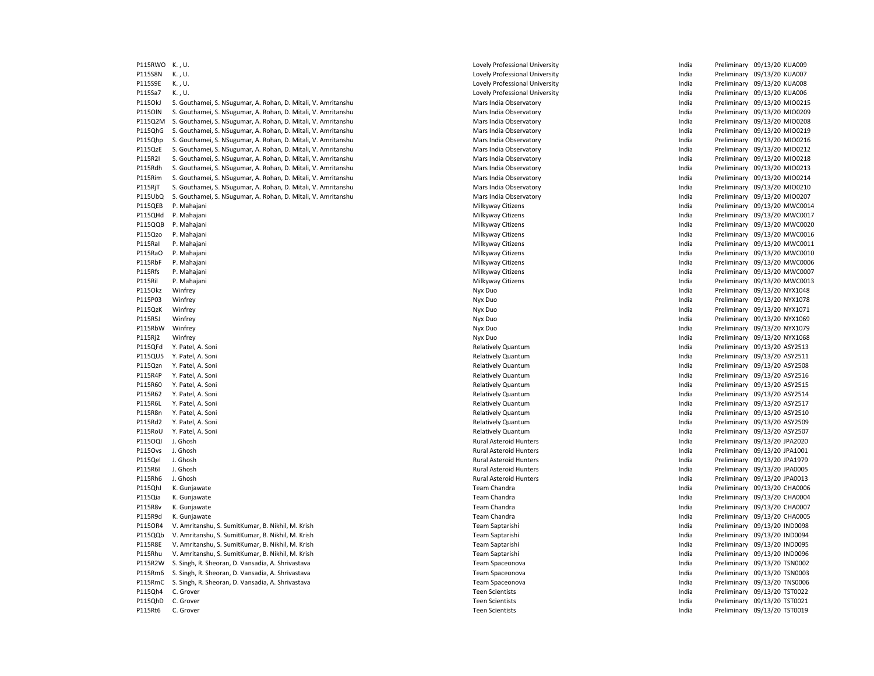| P115RWO        | K., U.                                                        | Lovely Professional University | India          | Preliminary 09/13/20 KUA009  |
|----------------|---------------------------------------------------------------|--------------------------------|----------------|------------------------------|
| P115S8N        | K., U.                                                        | Lovely Professional University | India          | Preliminary 09/13/20 KUA007  |
| P115S9E        | K., U.                                                        | Lovely Professional University | India          | Preliminary 09/13/20 KUA008  |
| P115Sa7        | K., U.                                                        | Lovely Professional University | India          | Preliminary 09/13/20 KUA006  |
| P1150kJ        | S. Gouthamei, S. NSugumar, A. Rohan, D. Mitali, V. Amritanshu | Mars India Observatory         | India          | Preliminary 09/13/20 MIO0215 |
| <b>P1150IN</b> | S. Gouthamei, S. NSugumar, A. Rohan, D. Mitali, V. Amritanshu | Mars India Observatory         | India          | Preliminary 09/13/20 MIO0209 |
| P115Q2M        | S. Gouthamei, S. NSugumar, A. Rohan, D. Mitali, V. Amritanshu | Mars India Observatory         | India          | Preliminary 09/13/20 MIO0208 |
| P115QhG        | S. Gouthamei, S. NSugumar, A. Rohan, D. Mitali, V. Amritanshu | Mars India Observatory         | India          | Preliminary 09/13/20 MIO0219 |
| P115Qhp        | S. Gouthamei, S. NSugumar, A. Rohan, D. Mitali, V. Amritanshu | Mars India Observatory         | India          | Preliminary 09/13/20 MIO0216 |
| P115QzE        | S. Gouthamei, S. NSugumar, A. Rohan, D. Mitali, V. Amritanshu | Mars India Observatory         | India          | Preliminary 09/13/20 MIO0212 |
| P115R2I        | S. Gouthamei, S. NSugumar, A. Rohan, D. Mitali, V. Amritanshu | Mars India Observatory         | India          | Preliminary 09/13/20 MIO0218 |
| P115Rdh        | S. Gouthamei, S. NSugumar, A. Rohan, D. Mitali, V. Amritanshu | Mars India Observatory         | India          | Preliminary 09/13/20 MIO0213 |
| P115Rim        | S. Gouthamei, S. NSugumar, A. Rohan, D. Mitali, V. Amritanshu | Mars India Observatory         | India          | Preliminary 09/13/20 MIO0214 |
| P115RjT        | S. Gouthamei, S. NSugumar, A. Rohan, D. Mitali, V. Amritanshu | Mars India Observatory         | India          | Preliminary 09/13/20 MIO0210 |
| P115UbQ        | S. Gouthamei, S. NSugumar, A. Rohan, D. Mitali, V. Amritanshu | Mars India Observatory         | India          | Preliminary 09/13/20 MIO0207 |
| P115QEB        | P. Mahajani                                                   | Milkyway Citizens              | India          | Preliminary 09/13/20 MWC0014 |
| P115QHd        | P. Mahajani                                                   | Milkyway Citizens              | India          | Preliminary 09/13/20 MWC0017 |
| P115QQB        | P. Mahajani                                                   | Milkyway Citizens              | India          | Preliminary 09/13/20 MWC0020 |
| P115Qzo        | P. Mahajani                                                   | Milkyway Citizens              | India          | Preliminary 09/13/20 MWC0016 |
| P115Ral        | P. Mahajani                                                   | Milkyway Citizens              | India          | Preliminary 09/13/20 MWC0011 |
| P115RaO        | P. Mahajani                                                   | Milkyway Citizens              | India          | Preliminary 09/13/20 MWC0010 |
| P115RbF        | P. Mahajani                                                   | Milkyway Citizens              | India          | Preliminary 09/13/20 MWC0006 |
| P115Rfs        | P. Mahajani                                                   | Milkyway Citizens              | India          | Preliminary 09/13/20 MWC0007 |
| P115Ril        | P. Mahajani                                                   | Milkyway Citizens              | India          | Preliminary 09/13/20 MWC0013 |
| P1150kz        | Winfrey                                                       | Nyx Duo                        | India          | Preliminary 09/13/20 NYX1048 |
| P115P03        | Winfrey                                                       | Nyx Duo                        | India          | Preliminary 09/13/20 NYX1078 |
| P115QzK        | Winfrey                                                       | Nyx Duo                        | India          | Preliminary 09/13/20 NYX1071 |
| P115R5J        |                                                               |                                |                |                              |
|                | Winfrey                                                       | Nyx Duo                        | India          | Preliminary 09/13/20 NYX1069 |
| P115RbW        | Winfrey                                                       | Nyx Duo                        | India          | Preliminary 09/13/20 NYX1079 |
| P115Rj2        | Winfrey                                                       | Nyx Duo                        | India<br>India | Preliminary 09/13/20 NYX1068 |
| P115QFd        | Y. Patel, A. Soni                                             | <b>Relatively Quantum</b>      |                | Preliminary 09/13/20 ASY2513 |
| P115QU5        | Y. Patel, A. Soni                                             | <b>Relatively Quantum</b>      | India          | Preliminary 09/13/20 ASY2511 |
| P115Qzn        | Y. Patel, A. Soni                                             | <b>Relatively Quantum</b>      | India          | Preliminary 09/13/20 ASY2508 |
| P115R4P        | Y. Patel, A. Soni                                             | <b>Relatively Quantum</b>      | India          | Preliminary 09/13/20 ASY2516 |
| P115R60        | Y. Patel, A. Soni                                             | <b>Relatively Quantum</b>      | India          | Preliminary 09/13/20 ASY2515 |
| P115R62        | Y. Patel, A. Soni                                             | <b>Relatively Quantum</b>      | India          | Preliminary 09/13/20 ASY2514 |
| P115R6L        | Y. Patel, A. Soni                                             | Relatively Quantum             | India          | Preliminary 09/13/20 ASY2517 |
| P115R8n        | Y. Patel, A. Soni                                             | <b>Relatively Quantum</b>      | India          | Preliminary 09/13/20 ASY2510 |
| P115Rd2        | Y. Patel, A. Soni                                             | Relatively Quantum             | India          | Preliminary 09/13/20 ASY2509 |
| P115RoU        | Y. Patel, A. Soni                                             | Relatively Quantum             | India          | Preliminary 09/13/20 ASY2507 |
| P1150QI        | J. Ghosh                                                      | <b>Rural Asteroid Hunters</b>  | India          | Preliminary 09/13/20 JPA2020 |
| P1150vs        | J. Ghosh                                                      | <b>Rural Asteroid Hunters</b>  | India          | Preliminary 09/13/20 JPA1001 |
| P115Qel        | J. Ghosh                                                      | <b>Rural Asteroid Hunters</b>  | India          | Preliminary 09/13/20 JPA1979 |
| P115R6I        | J. Ghosh                                                      | <b>Rural Asteroid Hunters</b>  | India          | Preliminary 09/13/20 JPA0005 |
| P115Rh6        | J. Ghosh                                                      | <b>Rural Asteroid Hunters</b>  | India          | Preliminary 09/13/20 JPA0013 |
| P115QhJ        | K. Gunjawate                                                  | Team Chandra                   | India          | Preliminary 09/13/20 CHA0006 |
| P115Qia        | K. Gunjawate                                                  | Team Chandra                   | India          | Preliminary 09/13/20 CHA0004 |
| P115R8v        | K. Gunjawate                                                  | Team Chandra                   | India          | Preliminary 09/13/20 CHA0007 |
| P115R9d        | K. Gunjawate                                                  | Team Chandra                   | India          | Preliminary 09/13/20 CHA0005 |
| P115OR4        | V. Amritanshu, S. SumitKumar, B. Nikhil, M. Krish             | <b>Team Saptarishi</b>         | India          | Preliminary 09/13/20 IND0098 |
| P115QQb        | V. Amritanshu, S. SumitKumar, B. Nikhil, M. Krish             | Team Saptarishi                | India          | Preliminary 09/13/20 IND0094 |
| P115R8E        | V. Amritanshu, S. SumitKumar, B. Nikhil, M. Krish             | Team Saptarishi                | India          | Preliminary 09/13/20 IND0095 |
| P115Rhu        | V. Amritanshu, S. SumitKumar, B. Nikhil, M. Krish             | Team Saptarishi                | India          | Preliminary 09/13/20 IND0096 |
| P115R2W        | S. Singh, R. Sheoran, D. Vansadia, A. Shrivastava             | Team Spaceonova                | India          | Preliminary 09/13/20 TSN0002 |
| P115Rm6        | S. Singh, R. Sheoran, D. Vansadia, A. Shrivastava             | Team Spaceonova                | India          | Preliminary 09/13/20 TSN0003 |
| P115RmC        | S. Singh, R. Sheoran, D. Vansadia, A. Shrivastava             | Team Spaceonova                | India          | Preliminary 09/13/20 TNS0006 |
| P115Qh4        | C. Grover                                                     | <b>Teen Scientists</b>         | India          | Preliminary 09/13/20 TST0022 |
| P115QhD        | C. Grover                                                     | <b>Teen Scientists</b>         | India          | Preliminary 09/13/20 TST0021 |
| P115Rt6        | C. Grover                                                     | <b>Teen Scientists</b>         | India          | Preliminary 09/13/20 TST0019 |

|      | Lovely Professional University | India | Preliminary                  | 09/13/20 KUA009  |  |
|------|--------------------------------|-------|------------------------------|------------------|--|
|      | Lovely Professional University | India | Preliminary 09/13/20 KUA007  |                  |  |
|      | Lovely Professional University | India | Preliminary 09/13/20 KUA008  |                  |  |
|      | Lovely Professional University | India | Preliminary 09/13/20 KUA006  |                  |  |
| ıshu | Mars India Observatory         | India | Preliminary 09/13/20 MIO0215 |                  |  |
| ıshu | Mars India Observatory         | India | Preliminary 09/13/20 MIO0209 |                  |  |
| ıshu | Mars India Observatory         | India | Preliminary                  | 09/13/20 MIO0208 |  |
| ıshu | Mars India Observatory         | India | Preliminary 09/13/20 MIO0219 |                  |  |
| ıshu | Mars India Observatory         | India | Preliminary 09/13/20 MIO0216 |                  |  |
| ıshu | Mars India Observatory         | India | Preliminary 09/13/20 MIO0212 |                  |  |
| ıshu | Mars India Observatory         | India | Preliminary                  | 09/13/20 MIO0218 |  |
| ıshu | Mars India Observatory         | India | Preliminary 09/13/20 MIO0213 |                  |  |
| ıshu | Mars India Observatory         | India | Preliminary 09/13/20 MIO0214 |                  |  |
| ıshu | Mars India Observatory         | India | Preliminary 09/13/20 MIO0210 |                  |  |
|      |                                | India | Preliminary 09/13/20 MIO0207 |                  |  |
| ıshu | Mars India Observatory         | India | Preliminary                  |                  |  |
|      | Milkyway Citizens              |       |                              | 09/13/20 MWC0014 |  |
|      | Milkyway Citizens              | India | Preliminary 09/13/20 MWC0017 |                  |  |
|      | Milkyway Citizens              | India | Preliminary                  | 09/13/20 MWC0020 |  |
|      | Milkyway Citizens              | India | Preliminary 09/13/20 MWC0016 |                  |  |
|      | Milkyway Citizens              | India | Preliminary 09/13/20 MWC0011 |                  |  |
|      | Milkyway Citizens              | India | Preliminary 09/13/20 MWC0010 |                  |  |
|      | Milkyway Citizens              | India | Preliminary 09/13/20 MWC0006 |                  |  |
|      | Milkyway Citizens              | India | Preliminary                  | 09/13/20 MWC0007 |  |
|      | Milkyway Citizens              | India | Preliminary 09/13/20 MWC0013 |                  |  |
|      | Nyx Duo                        | India | Preliminary                  | 09/13/20 NYX1048 |  |
|      | Nyx Duo                        | India | Preliminary 09/13/20 NYX1078 |                  |  |
|      | Nyx Duo                        | India | Preliminary 09/13/20 NYX1071 |                  |  |
|      | Nyx Duo                        | India | Preliminary 09/13/20 NYX1069 |                  |  |
|      | Nyx Duo                        | India | Preliminary 09/13/20 NYX1079 |                  |  |
|      | Nyx Duo                        | India | Preliminary 09/13/20 NYX1068 |                  |  |
|      | <b>Relatively Quantum</b>      | India | Preliminary 09/13/20 ASY2513 |                  |  |
|      | Relatively Quantum             | India | Preliminary                  | 09/13/20 ASY2511 |  |
|      | <b>Relatively Quantum</b>      | India | Preliminary 09/13/20 ASY2508 |                  |  |
|      | <b>Relatively Quantum</b>      | India | Preliminary                  | 09/13/20 ASY2516 |  |
|      | <b>Relatively Quantum</b>      | India | Preliminary 09/13/20 ASY2515 |                  |  |
|      | Relatively Quantum             | India | Preliminary 09/13/20 ASY2514 |                  |  |
|      | <b>Relatively Quantum</b>      | India | Preliminary 09/13/20 ASY2517 |                  |  |
|      | Relatively Quantum             | India | Preliminary 09/13/20 ASY2510 |                  |  |
|      | <b>Relatively Quantum</b>      | India | Preliminary 09/13/20 ASY2509 |                  |  |
|      | Relatively Quantum             | India | Preliminary 09/13/20 ASY2507 |                  |  |
|      | Rural Asteroid Hunters         | India | Preliminary                  | 09/13/20 JPA2020 |  |
|      | <b>Rural Asteroid Hunters</b>  | India | Preliminary 09/13/20 JPA1001 |                  |  |
|      | <b>Rural Asteroid Hunters</b>  | India | Preliminary                  | 09/13/20 JPA1979 |  |
|      | <b>Rural Asteroid Hunters</b>  | India | Preliminary 09/13/20 JPA0005 |                  |  |
|      | <b>Rural Asteroid Hunters</b>  | India | Preliminary 09/13/20 JPA0013 |                  |  |
|      | Team Chandra                   | India | Preliminary 09/13/20 CHA0006 |                  |  |
|      | Team Chandra                   | India | Preliminary 09/13/20 CHA0004 |                  |  |
|      | Team Chandra                   | India | Preliminary                  | 09/13/20 CHA0007 |  |
|      | Team Chandra                   | India | Preliminary 09/13/20 CHA0005 |                  |  |
|      | Team Saptarishi                | India | Preliminary                  | 09/13/20 IND0098 |  |
|      | Team Saptarishi                | India | Preliminary 09/13/20 IND0094 |                  |  |
|      | Team Saptarishi                | India | Preliminary 09/13/20 IND0095 |                  |  |
|      | Team Saptarishi                | India | Preliminary 09/13/20 IND0096 |                  |  |
|      | Team Spaceonova                | India | Preliminary 09/13/20 TSN0002 |                  |  |
|      | Team Spaceonova                | India | Preliminary 09/13/20 TSN0003 |                  |  |
|      | Team Spaceonova                | India | Preliminary 09/13/20 TNS0006 |                  |  |
|      | <b>Teen Scientists</b>         | India | Preliminary 09/13/20 TST0022 |                  |  |
|      | <b>Teen Scientists</b>         | India | Preliminary 09/13/20 TST0021 |                  |  |
|      | <b>Teen Scientists</b>         | India | Preliminary 09/13/20 TST0019 |                  |  |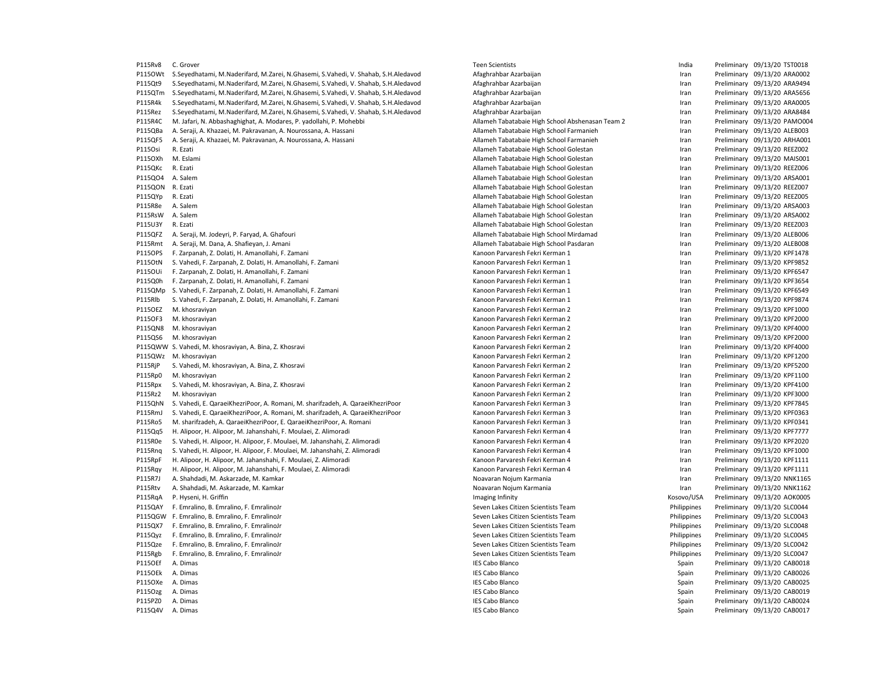P115Rv8 C. Grover examples and the settlement of the Scientists of the Scientists of the Scientists of the Marian Preliminary 09/13/20 TST0018 P115OWt S.Seyedhatami, M.Naderifard, M.Zarei, N.Ghasemi, S.Vahedi, V. Shahab, S.H.Aledavod Afaghrahbar Azarbaijan Preliminary and Preliminary 09/13/20 ARA0002 P115Qt9 S.Sevedhatami, M.Naderifard, M.Zarei, N.Ghasemi, S.Vahedi, V. Shahab, S.H.Aledavod Afaghrahbar Azarbaijan Preliminary Dram Preliminary 09/13/20 ARA9494 P115OTm S.Seyedhatami, M.Naderifard, M.Zarei, N.Ghasemi, S.Vahedi, V. Shahab, S.H.Aledavod Afaghrahbar Azarbaijan Preliminary (19/13/20 ARA5656 P115R4k S.Seyedhatami, M.Naderifard, M.Zarei, N.Ghasemi, S.Vahedi, V. Shahab, S.H.Aledavod Afaghrahbar Azarbaijan Iran Preliminary 09/13/20 ARA0005 P115Rez S.Seyedhatami, M.Naderifard, M.Zarei, N.Ghasemi, S.Vahedi, V. Shahab, S.H.Aledavod Afaghrahbar Azarbaijan Iran Preliminary 09/13/20 ARA8484 P115R4C M. Jafari, N. Abbashaghighat, A. Modares, P. yadollahi, P. Mohebbi Allameh Tabatabaie High School Abshenasan Team 2 Iran Preliminary 09/13/20 PAMO004 P115QBa A. Seraji, A. Khazaei, M. Pakravanan, A. Nourossana, A. Hassani Allameh Tabatabaie High School Farmanieh Iran Preliminary 09/13/20 ALEB003 P115QF5 A. Seraji, A. Khazaei, M. Pakravanan, A. Nourossana, A. Hassani Allameh Tabatabaie High School Farmanieh Iran Preliminary 09/13/20 ARHA001 P115Osi R. Ezati Allameh Tabatabaie High School Golestan Iran Preliminary 09/13/20 REEZ002 P115OXh M. Eslami **M. Eslami** and the metal and the metal and the Mathanic High School Golestan and a computer of the Preliminary 09/13/20 MAIS001 P115QKc R. Ezati Philameh Tabatabaie High School Golestan Iran Iran Preliminary 09/13/20 REEZ006 P115QO4 A. Salem Preliminary 09/13/20 ARSA001 Control and Tabatabaie High School Golestan Iran Preliminary 09/13/20 ARSA001 P115QON R. Ezati Allameh Tabatabaie High School Golestan Iran Preliminary 09/13/20 REEZ007 P115QYp R. Ezati Allameh Tabatabaie High School Golestan Iran Preliminary 09/13/20 REEZ005 P115R8e A. Salem 2013/20 ARSA003 Particle and Allameh Tabatabaie High School Golestan Iran Preliminary 09/13/20 ARSA003 P115RsW A. Salem Pabatabaie High School Golestan Iran Preliminary 09/13/20 ARSA002 P115U3Y R. Ezati **Allameh Tabatabaie High School Golestan** Iran Iran Preliminary 09/13/20 REEZ003 P115QFZ A. Seraji, M. Jodeyri, P. Faryad, A. Ghafouri Allameh Tabatabaie High School Mirdamad Iran Preliminary 09/13/20 ALEB006 P115Rmt A. Seraji, M. Dana, A. Shafieyan, J. Amani Allameh Tabatabaie High School Pasdaran Iran Preliminary 09/13/20 ALEB008 P115OPS F. Zarpanah, Z. Dolati, H. Amanollahi, F. Zamani Kanoon Parvaresh Fekri Kerman 1 Iran Preliminary 09/13/20 KPF1478 P115OtN S. Vahedi, F. Zarpanah, Z. Dolati, H. Amanollahi, F. Zamani Kanoon Parvaresh Fekri Kerman Tan Amanollahi, F. Zamani Kanoon Parvaresh Fekri Kerman 1 Ran Preliminary 09/13/20 KPF9852 P115OUi F. Zarpanah, Z. Dolati, H. Amanollahi, F. Zamani Kamoon Parvaresh Fekri Kerman Preliminary and Treliminary and Dreliminary 09/13/20 KPF6547 P115Q0h F. Zarpanah, Z. Dolati, H. Amanollahi, F. Zamani Kanoon Parvaresh Fekri Kerman 1 Iran Preliminary 09/13/20 KPF3654 P115QMp S. Vahedi, F. Zarpanah, Z. Dolati, H. Amanollahi, F. Zamani Namani Naman Parvaresh Fekri Kerman 1 Naman Preliminary 09/13/20 KPF6549 P115Rlb S. Vahedi, F. Zarpanah, Z. Dolati, H. Amanollahi, F. Zamani Kanoon Parvaresh Fekri Kerman Tran Preliminary 09/13/20 KPF9874 P115OEZ M. khosraviyan Maxweyn Maxweyn Maxweyn Kanoon Parvaresh Fekri Kerman 2 Iran Preliminary 09/13/20 KPF1000 P115OF3 M. khosraviyan Marvaresh Eekri Kerman 2 Iran Preliminary 09/13/20 KPF2000 P115QN8 M. khosraviyan Maxweyn Maxweyn Maxweyn Kanoon Parvaresh Fekri Kerman 2 Iran Preliminary 09/13/20 KPF4000 P115QS6 M. khosraviyan Kanoon Parvaresh Fekri Kerman 2 Iran Preliminary 09/13/20 KPF2000 P115QWW S. Vahedi, M. khosraviyan, A. Bina, Z. Khosravi Kanoon Parvaresh Fekri Kerman Preliminary Manoon Parvaresh Fekri Kerman 2 Iran Preliminary 09/13/20 KPF4000 P115OWz M. khosraviyan Marvaresh Eekri Kerman 2 Iran Preliminary 09/13/20 KPF1200 P115RjP S. Vahedi, M. khosraviyan, A. Bina, Z. Khosravi Kanoon Parvaresh Fekri Kerman Preliminary Manoon Parvaresh Fekri Kerman 2 Iran Preliminary 09/13/20 KPF5200 P115Rp0 M. khosraviyan Maxwan Maxwan Kanoon Parvaresh Fekri Kerman 2 Iran Preliminary 09/13/20 KPF1100 P115Rpx S. Vahedi, M. khosraviyan, A. Bina, Z. Khosravi Kanoon Parvaresh Fekri Kerman American American American Preliminary 09/13/20 KPF4100 P115Rz2 M. khosraviyan Maxweyn Maxweyn Maxweyn Kanoon Parvaresh Fekri Kerman 2 Iran Preliminary 09/13/20 KPF3000 P115QhN S. Vahedi, E. QaraeiKhezriPoor, A. Romani, M. sharifzadeh, A. QaraeiKhezriPoor Kanoon Parvaresh Fekri Kerman 3 Iran Preliminary 09/13/20 KPF7845 P115RmJ S. Vahedi, E. QaraeiKhezriPoor, A. Romani, M. sharifzadeh, A. QaraeiKhezriPoor Naman Andresh Fekri Kerman 3 Iran Preliminary 09/13/20 KPF0363 P115Ro5 M. sharifzadeh, A. QaraeiKhezriPoor, E. QaraeiKhezriPoor, A. Romani **Iran Marvaresh Exanoon Parvaresh Fekri Kerman 3** Iran Preliminary 09/13/20 KPF0341 P115Qq5 H. Alipoor, H. Alipoor, M. Jahanshahi, F. Moulaei, Z. Alimoradi **Kanoon Parvaresh Fekri Kerman 4** Preliminary 09/13/20 KPF7777 P115R0e S. Vahedi, H. Alipoor, H. Alipoor, F. Moulaei, M. Jahanshahi, Z. Alimoradi **Kanoon Parvaresh Fekri Kerman 4** Iran Preliminary 09/13/20 KPF2020 P115Rnq S. Vahedi, H. Alipoor, H. Alipoor, F. Moulaei, M. Jahanshahi, Z. Alimoradi Kanoon Parvaresh Fekri Kerman 4 Iran Preliminary 09/13/20 KPF1000 P115RpF H. Alipoor, H. Alipoor, M. Jahanshahi, F. Moulaei, Z. Alimoradi Kanoon Parvaresh Fekri Kerman 4 Iran Preliminary 09/13/20 KPF1111 P115Rqy H. Alipoor, H. Alipoor, M. Jahanshahi, F. Moulaei, Z. Alimoradi **N. Parvaresh Exanoon Parvaresh Fekri Kerman 4** Iran Preliminary 09/13/20 KPF1111 P115R7J A. Shahdadi, M. Askarzade, M. Kamkar Nobel and Noavaran Nojum Karmania Noavaran Nojum Karmania Noavaran Nojum Karmania Nobel and Preliminary 09/13/20 NNK1165 P115Rtv A. Shahdadi, M. Askarzade, M. Kamkar Nowarth Noavaran Nojum Karmania Nojum Karmania Nobel and Museum Marmania Nobel and Preliminary 09/13/20 NNK1162 P115RqA P. Hyseni, H. Griffin **Imaging Infinity** Imaging Infinity Imaging Infinity Cosovo/USA Preliminary 09/13/20 AOK0005 P115QAY F. Emralino, B. Emralino, F. EmralinoJr Seven Lakes Citizen Scientists Team Philippines Preliminary 09/13/20 SLC0044 P115QGW F. Emralino, B. Emralino, F. EmralinoJr Seven Lakes Citizen Scientists Team Philippines Preliminary 09/13/20 SLC0043 P115QX7 F. Emralino, B. Emralino, F. EmralinoJr Seven Lakes Citizen Scientists Team Philippines Preliminary 09/13/20 SLC0048 P115Qyz F. Emralino, B. Emralino, F. EmralinoJr Seven Lakes Citizen Scientists Team Philippines Preliminary 09/13/20 SLC0045 P115Qze F. Emralino, B. Emralino, F. EmralinoJr Seven Lakes Citizen Scientists Team Philippines Preliminary 09/13/20 SLC0042 P115Rgb F. Emralino, B. Emralino, F. EmralinoJr Succession Seven Lakes Citizen Scientists Team Philippines Preliminary 09/13/20 SLC0047 P115OEf A. Dimas IES Cabo Blanco Spain Preliminary 09/13/20 CAB0018 P115OEk A. Dimas IES Cabo Blanco Spain Preliminary 09/13/20 CAB0026 P115OXe A. Dimas 2013/20 CAB0025 P115OXe A. Dimas 199/13/20 CAB0025 P115Ozg A. Dimas **IES Cabo Blanco** IES Cabo Blanco **Capacita Capacita Capacita Capacita Capacita Capacita Capacita Capacita Capacita Capacita Capacita Capacita Capacita Capacita Capacita Capacita Capacita Capacita Capacita** P115PZ0 A. Dimas examples the state of the state of the SC and the SC and the SC and the Sc and the Sc and the Sc and the Sc and the Sc and the Sc and the Sc and the Sc and the Sc and the Sc and the Sc and the Sc and the S P115Q4V A. Dimas 2013/20 CAB0017 Particle and the Spain Spain Preliminary 09/13/20 CAB0017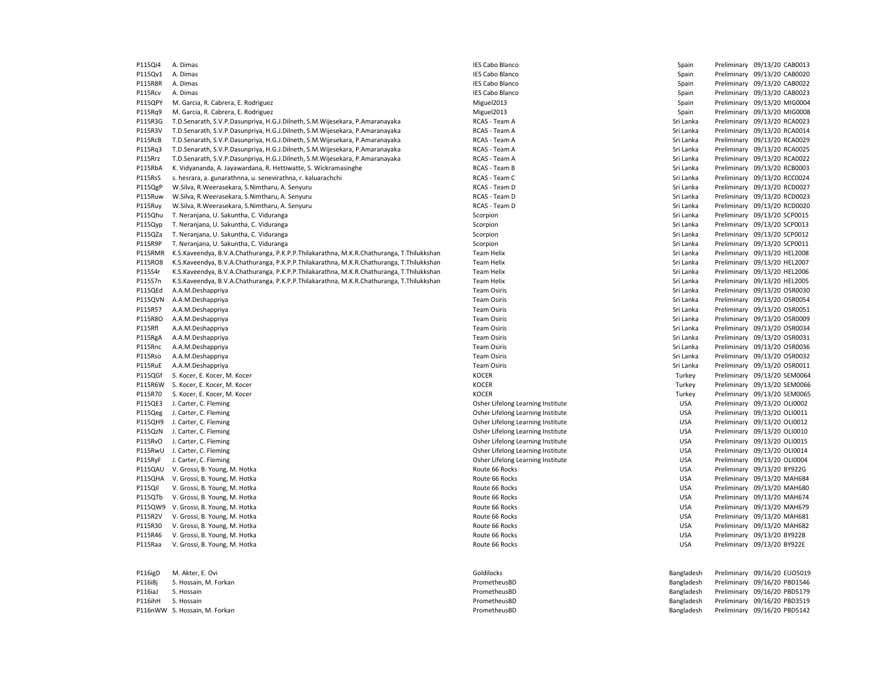| P115Qi4        | A. Dimas                                                                                  | <b>IES Cabo Blanco</b>            | Spain      | Preliminary 09/13/20 CAB0013 |
|----------------|-------------------------------------------------------------------------------------------|-----------------------------------|------------|------------------------------|
| P115Qv1        | A. Dimas                                                                                  | <b>IES Cabo Blanco</b>            | Spain      | Preliminary 09/13/20 CAB0020 |
| P115R8R        | A. Dimas                                                                                  | <b>IES Cabo Blanco</b>            | Spain      | Preliminary 09/13/20 CAB0022 |
| P115Rcv        | A. Dimas                                                                                  | <b>IES Cabo Blanco</b>            | Spain      | Preliminary 09/13/20 CAB0023 |
| P115QPY        | M. Garcia, R. Cabrera, E. Rodriguez                                                       | Miguel2013                        | Spain      | Preliminary 09/13/20 MIG0004 |
| P115Rq9        | M. Garcia, R. Cabrera, E. Rodriguez                                                       | Miguel2013                        | Spain      | Preliminary 09/13/20 MIG0008 |
| P115R3G        | T.D.Senarath, S.V.P.Dasunpriya, H.G.J.Dilneth, S.M.Wijesekara, P.Amaranayaka              | RCAS - Team A                     | Sri Lanka  | Preliminary 09/13/20 RCA0023 |
| P115R3V        | T.D.Senarath, S.V.P.Dasunpriya, H.G.J.Dilneth, S.M.Wijesekara, P.Amaranayaka              | RCAS - Team A                     | Sri Lanka  | Preliminary 09/13/20 RCA0014 |
| P115RcB        | T.D.Senarath, S.V.P.Dasunpriya, H.G.J.Dilneth, S.M.Wijesekara, P.Amaranayaka              | RCAS - Team A                     | Sri Lanka  | Preliminary 09/13/20 RCA0029 |
| P115Rq3        | T.D.Senarath, S.V.P.Dasunpriya, H.G.J.Dilneth, S.M.Wijesekara, P.Amaranayaka              | RCAS - Team A                     | Sri Lanka  | Preliminary 09/13/20 RCA0025 |
| P115Rrz        | T.D.Senarath, S.V.P.Dasunpriya, H.G.J.Dilneth, S.M.Wijesekara, P.Amaranayaka              | RCAS - Team A                     | Sri Lanka  | Preliminary 09/13/20 RCA0022 |
| P115RbA        | K. Vidyananda, A. Jayawardana, R. Hettiwatte, S. Wickramasinghe                           | RCAS - Team B                     | Sri Lanka  | Preliminary 09/13/20 RCB0003 |
| P115RsS        | s. hesrara, a. gunarathnna, u. senevirathna, r. kaluarachchi                              | RCAS - Team C                     | Sri Lanka  | Preliminary 09/13/20 RCC0024 |
|                | W.Silva, R.Weerasekara, S.Nimtharu, A. Senyuru                                            | RCAS - Team D                     | Sri Lanka  | Preliminary 09/13/20 RCD0027 |
| P115QgP        |                                                                                           |                                   |            |                              |
| P115Ruw        | W.Silva, R.Weerasekara, S.Nimtharu, A. Senyuru                                            | RCAS - Team D                     | Sri Lanka  | Preliminary 09/13/20 RCD0023 |
| P115Ruy        | W.Silva, R.Weerasekara, S.Nimtharu, A. Senyuru                                            | RCAS - Team D                     | Sri Lanka  | Preliminary 09/13/20 RCD0020 |
| P115Qhu        | T. Neranjana, U. Sakuntha, C. Viduranga                                                   | Scorpion                          | Sri Lanka  | Preliminary 09/13/20 SCP0015 |
| P115Qyp        | T. Neranjana, U. Sakuntha, C. Viduranga                                                   | Scorpion                          | Sri Lanka  | Preliminary 09/13/20 SCP0013 |
| P115QZa        | T. Neranjana, U. Sakuntha, C. Viduranga                                                   | Scorpion                          | Sri Lanka  | Preliminary 09/13/20 SCP0012 |
| P115R9P        | T. Neranjana, U. Sakuntha, C. Viduranga                                                   | Scorpion                          | Sri Lanka  | Preliminary 09/13/20 SCP0011 |
| P115RMR        | K.S.Kaveendya, B.V.A.Chathuranga, P.K.P.P.Thilakarathna, M.K.R.Chathuranga, T.Thilukkshan | <b>Team Helix</b>                 | Sri Lanka  | Preliminary 09/13/20 HEL2008 |
| P115RO8        | K.S.Kaveendya, B.V.A.Chathuranga, P.K.P.P.Thilakarathna, M.K.R.Chathuranga, T.Thilukkshan | <b>Team Helix</b>                 | Sri Lanka  | Preliminary 09/13/20 HEL2007 |
| P115S4r        | K.S.Kaveendya, B.V.A.Chathuranga, P.K.P.P.Thilakarathna, M.K.R.Chathuranga, T.Thilukkshan | <b>Team Helix</b>                 | Sri Lanka  | Preliminary 09/13/20 HEL2006 |
| P115S7n        | K.S.Kaveendya, B.V.A.Chathuranga, P.K.P.P.Thilakarathna, M.K.R.Chathuranga, T.Thilukkshan | Team Helix                        | Sri Lanka  | Preliminary 09/13/20 HEL2005 |
| P115QEd        | A.A.M.Deshappriya                                                                         | <b>Team Osiris</b>                | Sri Lanka  | Preliminary 09/13/20 OSR0030 |
| P115QVN        | A.A.M.Deshappriya                                                                         | <b>Team Osiris</b>                | Sri Lanka  | Preliminary 09/13/20 OSR0054 |
| P115R57        | A.A.M.Deshappriya                                                                         | <b>Team Osiris</b>                | Sri Lanka  | Preliminary 09/13/20 OSR0051 |
| P115R8O        | A.A.M.Deshappriya                                                                         | <b>Team Osiris</b>                | Sri Lanka  | Preliminary 09/13/20 OSR0009 |
| P115Rfl        | A.A.M.Deshappriya                                                                         | <b>Team Osiris</b>                | Sri Lanka  | Preliminary 09/13/20 OSR0034 |
| P115RgA        | A.A.M.Deshappriya                                                                         | <b>Team Osiris</b>                | Sri Lanka  | Preliminary 09/13/20 OSR0031 |
| P115Rnc        | A.A.M.Deshappriya                                                                         | <b>Team Osiris</b>                | Sri Lanka  | Preliminary 09/13/20 OSR0036 |
| P115Rso        | A.A.M.Deshappriya                                                                         | <b>Team Osiris</b>                | Sri Lanka  | Preliminary 09/13/20 OSR0032 |
| P115RuE        | A.A.M.Deshappriya                                                                         | <b>Team Osiris</b>                | Sri Lanka  | Preliminary 09/13/20 OSR0011 |
| P115QGf        | S. Kocer, E. Kocer, M. Kocer                                                              | <b>KOCER</b>                      | Turkey     | Preliminary 09/13/20 SEM0064 |
| P115R6W        | S. Kocer, E. Kocer, M. Kocer                                                              | <b>KOCER</b>                      | Turkey     | Preliminary 09/13/20 SEM0066 |
| P115R70        | S. Kocer, E. Kocer, M. Kocer                                                              | <b>KOCER</b>                      | Turkey     | Preliminary 09/13/20 SEM0065 |
|                | J. Carter, C. Fleming                                                                     |                                   | <b>USA</b> | Preliminary 09/13/20 OLI0002 |
| P115QE3        |                                                                                           | Osher Lifelong Learning Institute |            |                              |
| P115Qeg        | J. Carter, C. Fleming                                                                     | Osher Lifelong Learning Institute | <b>USA</b> | Preliminary 09/13/20 OLI0011 |
| P115QH9        | J. Carter, C. Fleming                                                                     | Osher Lifelong Learning Institute | <b>USA</b> | Preliminary 09/13/20 OLI0012 |
| P115QzN        | J. Carter, C. Fleming                                                                     | Osher Lifelong Learning Institute | <b>USA</b> | Preliminary 09/13/20 OLI0010 |
| P115RvO        | J. Carter, C. Fleming                                                                     | Osher Lifelong Learning Institute | <b>USA</b> | Preliminary 09/13/20 OLI0015 |
| P115RwU        | J. Carter, C. Fleming                                                                     | Osher Lifelong Learning Institute | <b>USA</b> | Preliminary 09/13/20 OLI0014 |
| P115RyF        | J. Carter, C. Fleming                                                                     | Osher Lifelong Learning Institute | <b>USA</b> | Preliminary 09/13/20 OLI0004 |
| P115QAU        | V. Grossi, B. Young, M. Hotka                                                             | Route 66 Rocks                    | <b>USA</b> | Preliminary 09/13/20 BY922G  |
| P115QHA        | V. Grossi, B. Young, M. Hotka                                                             | Route 66 Rocks                    | <b>USA</b> | Preliminary 09/13/20 MAH684  |
| <b>P115Qil</b> | V. Grossi, B. Young, M. Hotka                                                             | Route 66 Rocks                    | <b>USA</b> | Preliminary 09/13/20 MAH680  |
| P115QTb        | V. Grossi, B. Young, M. Hotka                                                             | Route 66 Rocks                    | <b>USA</b> | Preliminary 09/13/20 MAH674  |
| P115QW9        | V. Grossi, B. Young, M. Hotka                                                             | Route 66 Rocks                    | <b>USA</b> | Preliminary 09/13/20 MAH679  |
| P115R2V        | V. Grossi, B. Young, M. Hotka                                                             | Route 66 Rocks                    | <b>USA</b> | Preliminary 09/13/20 MAH681  |
| P115R30        | V. Grossi, B. Young, M. Hotka                                                             | Route 66 Rocks                    | <b>USA</b> | Preliminary 09/13/20 MAH682  |
| P115R46        | V. Grossi, B. Young, M. Hotka                                                             | Route 66 Rocks                    | <b>USA</b> | Preliminary 09/13/20 BY922B  |
| P115Raa        | V. Grossi, B. Young, M. Hotka                                                             | Route 66 Rocks                    | <b>USA</b> | Preliminary 09/13/20 BY922E  |
|                |                                                                                           |                                   |            |                              |
|                |                                                                                           |                                   |            |                              |
| P116igD        | M. Akter, E. Ovi                                                                          | Goldilocks                        | Bangladesh | Preliminary 09/16/20 EUO5019 |
| P116i8j        | S. Hossain, M. Forkan                                                                     | PrometheusBD                      | Bangladesh | Preliminary 09/16/20 PBD1546 |
| P116iaJ        | S. Hossain                                                                                | PrometheusBD                      | Bangladesh | Preliminary 09/16/20 PBD5179 |
| P116ihH        | S. Hossain                                                                                | PrometheusBD                      | Bangladesh | Preliminary 09/16/20 PBD3519 |
|                | P116nWW S. Hossain, M. Forkan                                                             | PrometheusBD                      | Bangladesh | Preliminary 09/16/20 PBD5142 |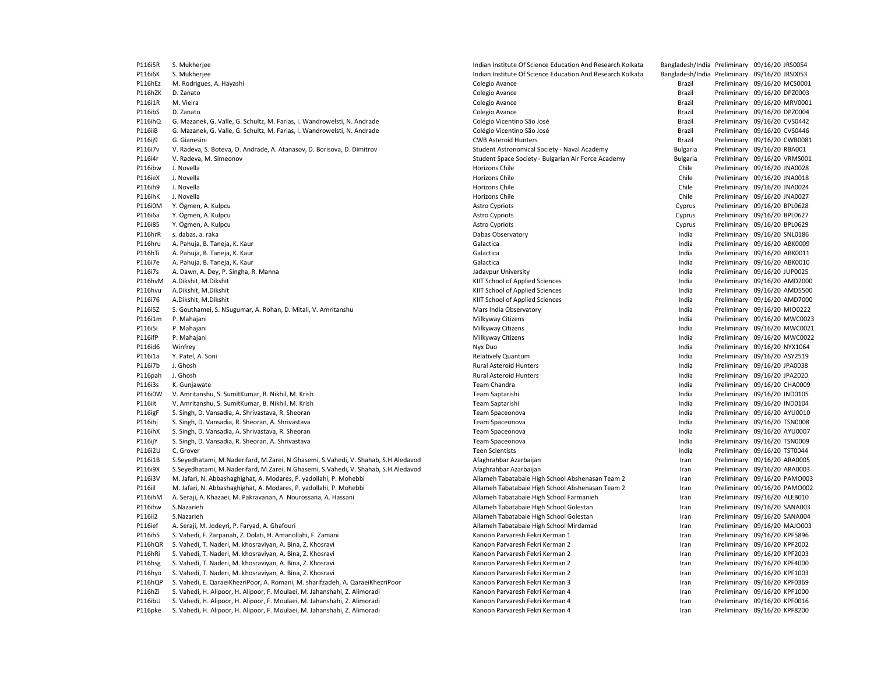| P116i5R            | S. Mukherjee                                                                          | Indian Institute Of Science Education And Research Kolkata |                 | Bangladesh/India Preliminary 09/16/20 JRS0054                |
|--------------------|---------------------------------------------------------------------------------------|------------------------------------------------------------|-----------------|--------------------------------------------------------------|
| P116i6K            | S. Mukherjee                                                                          | Indian Institute Of Science Education And Research Kolkata |                 | Bangladesh/India Preliminary 09/16/20 JRS0053                |
| P116hEz            | M. Rodrigues, A. Hayashi                                                              | Colegio Avance                                             | Brazil          | Preliminary 09/16/20 MCS0001                                 |
| P116hZK            | D. Zanato                                                                             | Colegio Avance                                             | Brazil          | Preliminary 09/16/20 DPZ0003                                 |
| P116i1R            | M. Vieira                                                                             | Colegio Avance                                             | Brazil          | Preliminary 09/16/20 MRV0001                                 |
| P116ibS            | D. Zanato                                                                             | Colegio Avance                                             | Brazil          | Preliminary 09/16/20 DPZ0004                                 |
| P116ihQ            | G. Mazanek, G. Valle, G. Schultz, M. Farias, I. Wandrowelsti, N. Andrade              | Colégio Vicentino São José                                 | Brazil          | Preliminary 09/16/20 CVS0442                                 |
| P116iiB            | G. Mazanek, G. Valle, G. Schultz, M. Farias, I. Wandrowelsti, N. Andrade              | Colégio Vicentino São José                                 | Brazil          | Preliminary 09/16/20 CVS0446                                 |
| P116ij9            | G. Gianesini                                                                          | <b>CWB Asteroid Hunters</b>                                | Brazil          | Preliminary 09/16/20 CWB0081                                 |
| P116i7v            | V. Radeva, S. Boteva, O. Andrade, A. Atanasov, D. Borisova, D. Dimitrov               | Student Astronomical Society - Naval Academy               | <b>Bulgaria</b> | Preliminary 09/16/20 RBA001                                  |
| P116i4r            | V. Radeva, M. Simeonov                                                                | Student Space Society - Bulgarian Air Force Academy        | <b>Bulgaria</b> | Preliminary 09/16/20 VRMS001                                 |
| P116ibw            | J. Novella                                                                            | Horizons Chile                                             | Chile           | Preliminary 09/16/20 JNA0028                                 |
| P116ieX            | J. Novella                                                                            | Horizons Chile                                             | Chile           | Preliminary 09/16/20 JNA0018                                 |
| P116ih9            | J. Novella                                                                            | Horizons Chile                                             | Chile           | Preliminary 09/16/20 JNA0024                                 |
| P116ihK            | J. Novella                                                                            | Horizons Chile                                             | Chile           | Preliminary 09/16/20 JNA0027                                 |
| P116i0M            | Y. Ögmen, A. Kulpcu                                                                   | <b>Astro Cypriots</b>                                      | Cyprus          | Preliminary 09/16/20 BPL0628                                 |
| P116i6a            | Y. Ögmen, A. Kulpcu                                                                   | <b>Astro Cypriots</b>                                      | Cyprus          | Preliminary 09/16/20 BPL0627                                 |
| P116i85            | Y. Ögmen, A. Kulpcu                                                                   | <b>Astro Cypriots</b>                                      | Cyprus          | Preliminary 09/16/20 BPL0629                                 |
| P116hrR            | s. dabas, a. raka                                                                     | Dabas Observatory                                          | India           | Preliminary 09/16/20 SNL0186                                 |
| P116hru            | A. Pahuja, B. Taneja, K. Kaur                                                         | Galactica                                                  | India           | Preliminary 09/16/20 ABK0009                                 |
| P116hTi            | A. Pahuja, B. Taneja, K. Kaur                                                         | Galactica                                                  | India           | Preliminary 09/16/20 ABK0011                                 |
| P116i7e            | A. Pahuja, B. Taneja, K. Kaur                                                         | Galactica                                                  | India           | Preliminary 09/16/20 ABK0010                                 |
|                    |                                                                                       |                                                            | India           | Preliminary 09/16/20 JUP0025                                 |
| P116i7s<br>P116hvM | A. Dawn, A. Dey, P. Singha, R. Manna<br>A.Dikshit, M.Dikshit                          | Jadavpur University<br>KIIT School of Applied Sciences     | India           | Preliminary 09/16/20 AMD2000                                 |
|                    |                                                                                       |                                                            |                 |                                                              |
| P116hvu            | A.Dikshit, M.Dikshit                                                                  | KIIT School of Applied Sciences                            | India           | Preliminary 09/16/20 AMD5500                                 |
| P116i76<br>P116i5Z | A.Dikshit, M.Dikshit<br>S. Gouthamei, S. NSugumar, A. Rohan, D. Mitali, V. Amritanshu | KIIT School of Applied Sciences<br>Mars India Observatory  | India<br>India  | Preliminary 09/16/20 AMD7000<br>Preliminary 09/16/20 MIO0222 |
|                    |                                                                                       |                                                            |                 |                                                              |
| P116i1m            | P. Mahajani                                                                           | Milkyway Citizens                                          | India           | Preliminary 09/16/20 MWC0023                                 |
| P116i5i            | P. Mahajani                                                                           | Milkyway Citizens                                          | India           | Preliminary 09/16/20 MWC0021                                 |
| P116ifP            | P. Mahajani                                                                           | Milkyway Citizens                                          | India           | Preliminary 09/16/20 MWC0022                                 |
| P116id6            | Winfrey                                                                               | Nyx Duo                                                    | India           | Preliminary 09/16/20 NYX1064                                 |
| P116i1a            | Y. Patel, A. Soni                                                                     | <b>Relatively Quantum</b>                                  | India           | Preliminary 09/16/20 ASY2519                                 |
| P116i7b            | J. Ghosh                                                                              | <b>Rural Asteroid Hunters</b>                              | India           | Preliminary 09/16/20 JPA0038                                 |
| P116pah            | J. Ghosh                                                                              | <b>Rural Asteroid Hunters</b>                              | India           | Preliminary 09/16/20 JPA2020                                 |
| P116i3s            | K. Gunjawate                                                                          | Team Chandra                                               | India           | Preliminary 09/16/20 CHA0009                                 |
| P116i0W            | V. Amritanshu, S. SumitKumar, B. Nikhil, M. Krish                                     | Team Saptarishi                                            | India           | Preliminary 09/16/20 IND0105                                 |
| P116iit            | V. Amritanshu, S. SumitKumar, B. Nikhil, M. Krish                                     | Team Saptarishi                                            | India           | Preliminary 09/16/20 IND0104                                 |
| P116igF            | S. Singh, D. Vansadia, A. Shrivastava, R. Sheoran                                     | Team Spaceonova                                            | India           | Preliminary 09/16/20 AYU0010                                 |
| P116ihj            | S. Singh, D. Vansadia, R. Sheoran, A. Shrivastava                                     | Team Spaceonova                                            | India           | Preliminary 09/16/20 TSN0008                                 |
| P116ihX            | S. Singh, D. Vansadia, A. Shrivastava, R. Sheoran                                     | Team Spaceonova                                            | India           | Preliminary 09/16/20 AYU0007                                 |
| <b>P116ijY</b>     | S. Singh, D. Vansadia, R. Sheoran, A. Shrivastava                                     | Team Spaceonova                                            | India           | Preliminary 09/16/20 TSN0009                                 |
| P116i2U            | C. Grover                                                                             | <b>Teen Scientists</b>                                     | India           | Preliminary 09/16/20 TST0044                                 |
| P116i1B            | S.Seyedhatami, M.Naderifard, M.Zarei, N.Ghasemi, S.Vahedi, V. Shahab, S.H.Aledavod    | Afaghrahbar Azarbaijan                                     | Iran            | Preliminary 09/16/20 ARA0005                                 |
| P116i9X            | S.Seyedhatami, M.Naderifard, M.Zarei, N.Ghasemi, S.Vahedi, V. Shahab, S.H.Aledavod    | Afaghrahbar Azarbaijan                                     | Iran            | Preliminary 09/16/20 ARA0003                                 |
| P116i3V            | M. Jafari, N. Abbashaghighat, A. Modares, P. yadollahi, P. Mohebbi                    | Allameh Tabatabaie High School Abshenasan Team 2           | Iran            | Preliminary 09/16/20 PAMO003                                 |
| P116iil            | M. Jafari, N. Abbashaghighat, A. Modares, P. yadollahi, P. Mohebbi                    | Allameh Tabatabaie High School Abshenasan Team 2           | Iran            | Preliminary 09/16/20 PAMO002                                 |
| P116ihM            | A. Seraji, A. Khazaei, M. Pakravanan, A. Nourossana, A. Hassani                       | Allameh Tabatabaie High School Farmanieh                   | Iran            | Preliminary 09/16/20 ALEB010                                 |
| P116ihw            | S.Nazarieh                                                                            | Allameh Tabatabaie High School Golestan                    | Iran            | Preliminary 09/16/20 SANA003                                 |
| P116ii2            | S.Nazarieh                                                                            | Allameh Tabatabaie High School Golestan                    | Iran            | Preliminary 09/16/20 SANA004                                 |
| P116ief            | A. Seraji, M. Jodeyri, P. Faryad, A. Ghafouri                                         | Allameh Tabatabaie High School Mirdamad                    | Iran            | Preliminary 09/16/20 MAJO003                                 |
| P116ih5            | S. Vahedi, F. Zarpanah, Z. Dolati, H. Amanollahi, F. Zamani                           | Kanoon Parvaresh Fekri Kerman 1                            | Iran            | Preliminary 09/16/20 KPF5896                                 |
| P116hQR            | S. Vahedi, T. Naderi, M. khosraviyan, A. Bina, Z. Khosravi                            | Kanoon Parvaresh Fekri Kerman 2                            | Iran            | Preliminary 09/16/20 KPF2002                                 |
| P116hRi            | S. Vahedi, T. Naderi, M. khosraviyan, A. Bina, Z. Khosravi                            | Kanoon Parvaresh Fekri Kerman 2                            | Iran            | Preliminary 09/16/20 KPF2003                                 |
| P116hsg            | S. Vahedi, T. Naderi, M. khosraviyan, A. Bina, Z. Khosravi                            | Kanoon Parvaresh Fekri Kerman 2                            | Iran            | Preliminary 09/16/20 KPF4000                                 |
| P116hyo            | S. Vahedi, T. Naderi, M. khosraviyan, A. Bina, Z. Khosravi                            | Kanoon Parvaresh Fekri Kerman 2                            | Iran            | Preliminary 09/16/20 KPF1003                                 |
| P116hQP            | S. Vahedi, E. QaraeiKhezriPoor, A. Romani, M. sharifzadeh, A. QaraeiKhezriPoor        | Kanoon Parvaresh Fekri Kerman 3                            | Iran            | Preliminary 09/16/20 KPF0369                                 |
| P116hZi            | S. Vahedi, H. Alipoor, H. Alipoor, F. Moulaei, M. Jahanshahi, Z. Alimoradi            | Kanoon Parvaresh Fekri Kerman 4                            | Iran            | Preliminary 09/16/20 KPF1000                                 |
| P116ibU            | S. Vahedi, H. Alipoor, H. Alipoor, F. Moulaei, M. Jahanshahi, Z. Alimoradi            | Kanoon Parvaresh Fekri Kerman 4                            | Iran            | Preliminary 09/16/20 KPF0016                                 |
| P116pke            | S. Vahedi, H. Alipoor, H. Alipoor, F. Moulaei, M. Jahanshahi, Z. Alimoradi            | Kanoon Parvaresh Fekri Kerman 4                            | Iran            | Preliminary 09/16/20 KPF8200                                 |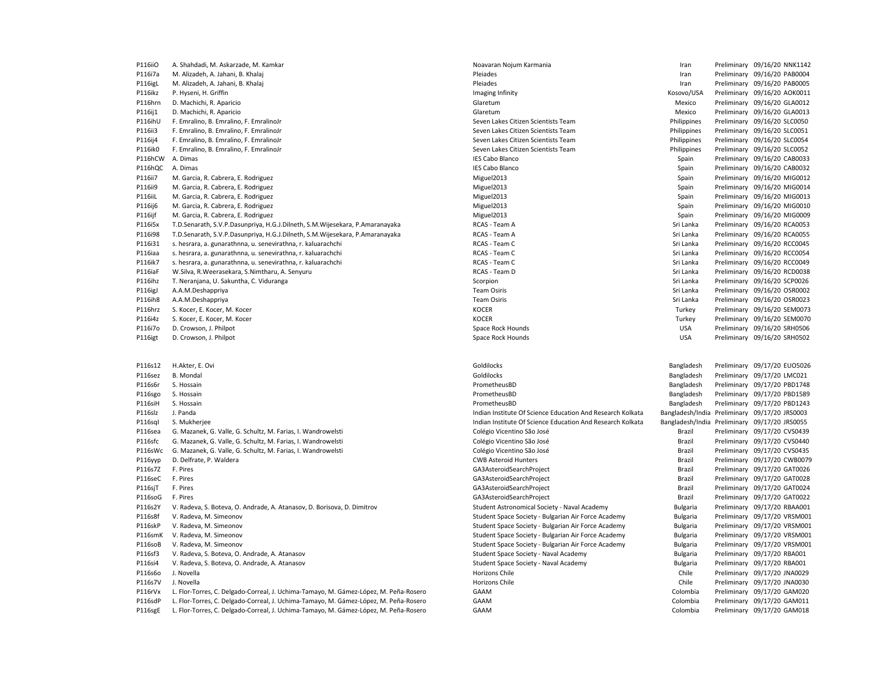| P116iiO            | A. Shahdadi, M. Askarzade, M. Kamkar                                                                                                                                         | Noavaran Nojum Karmania                                    | Iran                 | Preliminary 09/16/20 NNK1142                               |
|--------------------|------------------------------------------------------------------------------------------------------------------------------------------------------------------------------|------------------------------------------------------------|----------------------|------------------------------------------------------------|
| P116i7a            | M. Alizadeh, A. Jahani, B. Khalaj                                                                                                                                            | Pleiades                                                   | Iran                 | Preliminary 09/16/20 PAB0004                               |
| P116igL            | M. Alizadeh, A. Jahani, B. Khalaj                                                                                                                                            | Pleiades                                                   | Iran                 | Preliminary 09/16/20 PAB0005                               |
| P116ikz            | P. Hyseni, H. Griffin                                                                                                                                                        | Imaging Infinity                                           | Kosovo/USA           | Preliminary 09/16/20 AOK0011                               |
| P116hrn            | D. Machichi, R. Aparicio                                                                                                                                                     | Glaretum                                                   | Mexico               | Preliminary 09/16/20 GLA0012                               |
| P116ij1            | D. Machichi, R. Aparicio                                                                                                                                                     | Glaretum                                                   | Mexico               | Preliminary 09/16/20 GLA0013                               |
| P116ihU            | F. Emralino, B. Emralino, F. EmralinoJr                                                                                                                                      | Seven Lakes Citizen Scientists Team                        | Philippines          | Preliminary 09/16/20 SLC0050                               |
| P116ii3            | F. Emralino, B. Emralino, F. EmralinoJr                                                                                                                                      | Seven Lakes Citizen Scientists Team                        | Philippines          | Preliminary 09/16/20 SLC0051                               |
| P116ij4            | F. Emralino, B. Emralino, F. EmralinoJr                                                                                                                                      | Seven Lakes Citizen Scientists Team                        | Philippines          | Preliminary 09/16/20 SLC0054                               |
| P116ik0            | F. Emralino, B. Emralino, F. EmralinoJr                                                                                                                                      | Seven Lakes Citizen Scientists Team                        | Philippines          | Preliminary 09/16/20 SLC0052                               |
| P116hCW            | A. Dimas                                                                                                                                                                     | <b>IES Cabo Blanco</b>                                     | Spain                | Preliminary 09/16/20 CAB0033                               |
| P116hQC            | A. Dimas                                                                                                                                                                     | <b>IES Cabo Blanco</b>                                     | Spain                | Preliminary 09/16/20 CAB0032                               |
| P116ii7            | M. Garcia, R. Cabrera, E. Rodriguez                                                                                                                                          | Miguel2013                                                 | Spain                | Preliminary 09/16/20 MIG0012                               |
| P116ii9            | M. Garcia, R. Cabrera, E. Rodriguez                                                                                                                                          | Miguel2013                                                 | Spain                | Preliminary 09/16/20 MIG0014                               |
| P116iiL            | M. Garcia, R. Cabrera, E. Rodriguez                                                                                                                                          | Miguel2013                                                 | Spain                | Preliminary 09/16/20 MIG0013                               |
| P116ij6            | M. Garcia, R. Cabrera, E. Rodriguez                                                                                                                                          | Miguel2013                                                 | Spain                | Preliminary 09/16/20 MIG0010                               |
| P116ijf            | M. Garcia, R. Cabrera, E. Rodriguez                                                                                                                                          | Miguel2013                                                 | Spain                | Preliminary 09/16/20 MIG0009                               |
| P116i5x            | T.D.Senarath, S.V.P.Dasunpriya, H.G.J.Dilneth, S.M.Wijesekara, P.Amaranayaka                                                                                                 | RCAS - Team A                                              | Sri Lanka            | Preliminary 09/16/20 RCA0053                               |
| P116i98            | T.D.Senarath, S.V.P.Dasunpriya, H.G.J.Dilneth, S.M.Wijesekara, P.Amaranayaka                                                                                                 | RCAS - Team A                                              | Sri Lanka            | Preliminary 09/16/20 RCA0055                               |
| P116i31            | s. hesrara, a. gunarathnna, u. senevirathna, r. kaluarachchi                                                                                                                 | RCAS - Team C                                              | Sri Lanka            | Preliminary 09/16/20 RCC0045                               |
| P116iaa            | s. hesrara, a. gunarathnna, u. senevirathna, r. kaluarachchi                                                                                                                 | RCAS - Team C                                              | Sri Lanka            | Preliminary 09/16/20 RCC0054                               |
| P116ik7            | s. hesrara, a. gunarathnna, u. senevirathna, r. kaluarachchi                                                                                                                 | RCAS - Team C                                              | Sri Lanka            | Preliminary 09/16/20 RCC0049                               |
| P116iaF            | W.Silva, R.Weerasekara, S.Nimtharu, A. Senyuru                                                                                                                               | RCAS - Team D                                              | Sri Lanka            | Preliminary 09/16/20 RCD0038                               |
| P116ihz            | T. Neranjana, U. Sakuntha, C. Viduranga                                                                                                                                      | Scorpion                                                   | Sri Lanka            | Preliminary 09/16/20 SCP0026                               |
| P116igJ            | A.A.M.Deshappriya                                                                                                                                                            | <b>Team Osiris</b>                                         | Sri Lanka            | Preliminary 09/16/20 OSR0002                               |
| P116ih8            | A.A.M.Deshappriya                                                                                                                                                            | <b>Team Osiris</b>                                         | Sri Lanka            | Preliminary 09/16/20 OSR0023                               |
| P116hrz            | S. Kocer, E. Kocer, M. Kocer                                                                                                                                                 | <b>KOCER</b>                                               | Turkey               | Preliminary 09/16/20 SEM0073                               |
| P116i4z            | S. Kocer, E. Kocer, M. Kocer                                                                                                                                                 | <b>KOCER</b>                                               | Turkey               | Preliminary 09/16/20 SEM0070                               |
| P116i7o            | D. Crowson, J. Philpot                                                                                                                                                       | Space Rock Hounds                                          | <b>USA</b>           | Preliminary 09/16/20 SRH0506                               |
| P116igt            | D. Crowson, J. Philpot                                                                                                                                                       | Space Rock Hounds                                          | <b>USA</b>           | Preliminary 09/16/20 SRH0502                               |
|                    |                                                                                                                                                                              |                                                            |                      |                                                            |
|                    |                                                                                                                                                                              |                                                            |                      |                                                            |
| P116s12            | H.Akter, E. Ovi                                                                                                                                                              | Goldilocks                                                 | Bangladesh           | Preliminary 09/17/20 EUO5026                               |
| P116sez            | <b>B.</b> Mondal                                                                                                                                                             | Goldilocks                                                 | Bangladesh           | Preliminary 09/17/20 LMC021                                |
| P116s6r            | S. Hossain                                                                                                                                                                   | PrometheusBD                                               | Bangladesh           | Preliminary 09/17/20 PBD1748                               |
| P116sgo            | S. Hossain                                                                                                                                                                   | PrometheusBD                                               | Bangladesh           | Preliminary 09/17/20 PBD1589                               |
| P116siH            | S. Hossain                                                                                                                                                                   | PrometheusBD                                               | Bangladesh           | Preliminary 09/17/20 PBD1243                               |
| P116slz            | J. Panda                                                                                                                                                                     | Indian Institute Of Science Education And Research Kolkata |                      | Bangladesh/India Preliminary 09/17/20 JRS0003              |
| P116sql            | S. Mukherjee                                                                                                                                                                 | Indian Institute Of Science Education And Research Kolkata |                      | Bangladesh/India Preliminary 09/17/20 JRS0055              |
| P116sea            | G. Mazanek, G. Valle, G. Schultz, M. Farias, I. Wandrowelsti                                                                                                                 | Colégio Vicentino São José                                 | Brazil               | Preliminary 09/17/20 CVS0439                               |
| P116sfc            | G. Mazanek, G. Valle, G. Schultz, M. Farias, I. Wandrowelsti                                                                                                                 | Colégio Vicentino São José                                 | Brazil               | Preliminary 09/17/20 CVS0440                               |
| P116sWc            | G. Mazanek, G. Valle, G. Schultz, M. Farias, I. Wandrowelsti                                                                                                                 | Colégio Vicentino São José                                 | Brazil               | Preliminary 09/17/20 CVS0435                               |
| P116yyp            | D. Delfrate, P. Waldera                                                                                                                                                      | <b>CWB Asteroid Hunters</b>                                | Brazil               | Preliminary 09/17/20 CWB0079                               |
| P116s7Z            | F. Pires                                                                                                                                                                     | GA3AsteroidSearchProject                                   | Brazil               | Preliminary 09/17/20 GAT0026                               |
| P116seC            | F. Pires                                                                                                                                                                     | GA3AsteroidSearchProject                                   | Brazil               | Preliminary 09/17/20 GAT0028                               |
| P116sjT            | F. Pires                                                                                                                                                                     | GA3AsteroidSearchProject                                   | Brazil               | Preliminary 09/17/20 GAT0024                               |
| P116soG            | F. Pires                                                                                                                                                                     | GA3AsteroidSearchProject                                   | Brazil               | Preliminary 09/17/20 GAT0022                               |
| P116s2Y            | V. Radeva, S. Boteva, O. Andrade, A. Atanasov, D. Borisova, D. Dimitrov                                                                                                      | Student Astronomical Society - Naval Academy               | <b>Bulgaria</b>      | Preliminary 09/17/20 RBAA001                               |
| P116s8f            | V. Radeva, M. Simeonov                                                                                                                                                       | Student Space Society - Bulgarian Air Force Academy        | <b>Bulgaria</b>      | Preliminary 09/17/20 VRSM001                               |
| P116skP            | V. Radeva, M. Simeonov                                                                                                                                                       | Student Space Society - Bulgarian Air Force Academy        | <b>Bulgaria</b>      | Preliminary 09/17/20 VRSM001                               |
| P116smK            | V. Radeva, M. Simeonov                                                                                                                                                       | Student Space Society - Bulgarian Air Force Academy        | <b>Bulgaria</b>      | Preliminary 09/17/20 VRSM001                               |
| P116soB            | V. Radeva, M. Simeonov                                                                                                                                                       | Student Space Society - Bulgarian Air Force Academy        | <b>Bulgaria</b>      | Preliminary 09/17/20 VRSM001                               |
| P116sf3            | V. Radeva, S. Boteva, O. Andrade, A. Atanasov                                                                                                                                | Student Space Society - Naval Academy                      | <b>Bulgaria</b>      | Preliminary 09/17/20 RBA001                                |
| P116si4            | V. Radeva, S. Boteva, O. Andrade, A. Atanasov                                                                                                                                | Student Space Society - Naval Academy                      | <b>Bulgaria</b>      | Preliminary 09/17/20 RBA001                                |
| P116s6o            | J. Novella                                                                                                                                                                   | Horizons Chile                                             | Chile                | Preliminary 09/17/20 JNA0029                               |
| P116s7V            | J. Novella                                                                                                                                                                   | Horizons Chile                                             | Chile                | Preliminary 09/17/20 JNA0030                               |
| P116rVx            | L. Flor-Torres, C. Delgado-Correal, J. Uchima-Tamayo, M. Gámez-López, M. Peña-Rosero                                                                                         | GAAM                                                       | Colombia             | Preliminary 09/17/20 GAM020                                |
| P116sdP<br>P116sgE | L. Flor-Torres, C. Delgado-Correal, J. Uchima-Tamayo, M. Gámez-López, M. Peña-Rosero<br>L. Flor-Torres, C. Delgado-Correal, J. Uchima-Tamayo, M. Gámez-López, M. Peña-Rosero | GAAM<br>GAAM                                               | Colombia<br>Colombia | Preliminary 09/17/20 GAM011<br>Preliminary 09/17/20 GAM018 |
|                    |                                                                                                                                                                              |                                                            |                      |                                                            |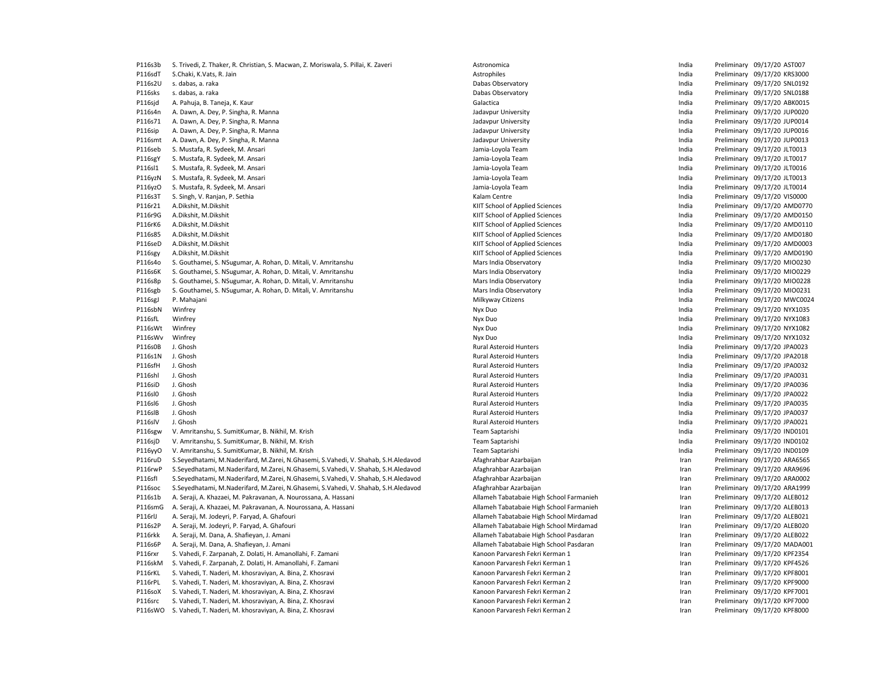| P116s3b        | S. Trivedi, Z. Thaker, R. Christian, S. Macwan, Z. Moriswala, S. Pillai, K. Zaveri | Astronomica                              | India | Preliminary 09/17/20 AST007  |
|----------------|------------------------------------------------------------------------------------|------------------------------------------|-------|------------------------------|
| P116sdT        | S.Chaki, K.Vats, R. Jain                                                           | Astrophiles                              | India | Preliminary 09/17/20 KRS3000 |
| P116s2U        | s. dabas, a. raka                                                                  | Dabas Observatory                        | India | Preliminary 09/17/20 SNL0192 |
| P116sks        | s. dabas, a. raka                                                                  | Dabas Observatory                        | India | Preliminary 09/17/20 SNL0188 |
| P116sjd        | A. Pahuja, B. Taneja, K. Kaur                                                      | Galactica                                | India | Preliminary 09/17/20 ABK0015 |
| P116s4n        | A. Dawn, A. Dey, P. Singha, R. Manna                                               | Jadavpur University                      | India | Preliminary 09/17/20 JUP0020 |
| P116s71        | A. Dawn, A. Dey, P. Singha, R. Manna                                               | Jadavpur University                      | India | Preliminary 09/17/20 JUP0014 |
| P116sip        | A. Dawn, A. Dey, P. Singha, R. Manna                                               | Jadavpur University                      | India | Preliminary 09/17/20 JUP0016 |
| P116smt        | A. Dawn, A. Dey, P. Singha, R. Manna                                               | Jadavpur University                      | India | Preliminary 09/17/20 JUP0013 |
| P116seb        | S. Mustafa, R. Sydeek, M. Ansari                                                   | Jamia-Loyola Team                        | India | Preliminary 09/17/20 JLT0013 |
| <b>P116sgY</b> | S. Mustafa, R. Sydeek, M. Ansari                                                   | Jamia-Loyola Team                        | India | Preliminary 09/17/20 JLT0017 |
| P116sl1        | S. Mustafa, R. Sydeek, M. Ansari                                                   | Jamia-Loyola Team                        | India | Preliminary 09/17/20 JLT0016 |
| P116yzN        | S. Mustafa, R. Sydeek, M. Ansari                                                   | Jamia-Loyola Team                        | India | Preliminary 09/17/20 JLT0013 |
| P116yzO        | S. Mustafa, R. Sydeek, M. Ansari                                                   | Jamia-Loyola Team                        | India | Preliminary 09/17/20 JLT0014 |
|                |                                                                                    | Kalam Centre                             | India |                              |
| P116s3T        | S. Singh, V. Ranjan, P. Sethia                                                     |                                          |       | Preliminary 09/17/20 VIS0000 |
| P116r21        | A.Dikshit, M.Dikshit                                                               | KIIT School of Applied Sciences          | India | Preliminary 09/17/20 AMD0770 |
| P116r9G        | A.Dikshit, M.Dikshit                                                               | KIIT School of Applied Sciences          | India | Preliminary 09/17/20 AMD0150 |
| P116rK6        | A.Dikshit, M.Dikshit                                                               | KIIT School of Applied Sciences          | India | Preliminary 09/17/20 AMD0110 |
| P116s85        | A.Dikshit, M.Dikshit                                                               | KIIT School of Applied Sciences          | India | Preliminary 09/17/20 AMD0180 |
| P116seD        | A.Dikshit, M.Dikshit                                                               | KIIT School of Applied Sciences          | India | Preliminary 09/17/20 AMD0003 |
| P116sgy        | A.Dikshit, M.Dikshit                                                               | KIIT School of Applied Sciences          | India | Preliminary 09/17/20 AMD0190 |
| P116s4o        | S. Gouthamei, S. NSugumar, A. Rohan, D. Mitali, V. Amritanshu                      | Mars India Observatory                   | India | Preliminary 09/17/20 MIO0230 |
| P116s6K        | S. Gouthamei, S. NSugumar, A. Rohan, D. Mitali, V. Amritanshu                      | Mars India Observatory                   | India | Preliminary 09/17/20 MIO0229 |
| P116s8p        | S. Gouthamei, S. NSugumar, A. Rohan, D. Mitali, V. Amritanshu                      | Mars India Observatory                   | India | Preliminary 09/17/20 MIO0228 |
| P116sgb        | S. Gouthamei, S. NSugumar, A. Rohan, D. Mitali, V. Amritanshu                      | Mars India Observatory                   | India | Preliminary 09/17/20 MIO0231 |
| P116sgJ        | P. Mahajani                                                                        | Milkyway Citizens                        | India | Preliminary 09/17/20 MWC0024 |
| P116sbN        | Winfrey                                                                            | Nyx Duo                                  | India | Preliminary 09/17/20 NYX1035 |
| P116sfL        | Winfrey                                                                            | Nyx Duo                                  | India | Preliminary 09/17/20 NYX1083 |
| P116sWt        | Winfrey                                                                            | Nyx Duo                                  | India | Preliminary 09/17/20 NYX1082 |
| P116sWv        | Winfrey                                                                            | Nyx Duo                                  | India | Preliminary 09/17/20 NYX1032 |
| P116s0B        | J. Ghosh                                                                           | <b>Rural Asteroid Hunters</b>            | India | Preliminary 09/17/20 JPA0023 |
| P116s1N        | J. Ghosh                                                                           | <b>Rural Asteroid Hunters</b>            | India | Preliminary 09/17/20 JPA2018 |
| P116sfH        | J. Ghosh                                                                           | <b>Rural Asteroid Hunters</b>            | India | Preliminary 09/17/20 JPA0032 |
| P116shl        | J. Ghosh                                                                           | <b>Rural Asteroid Hunters</b>            | India | Preliminary 09/17/20 JPA0031 |
| P116siD        | J. Ghosh                                                                           | <b>Rural Asteroid Hunters</b>            | India | Preliminary 09/17/20 JPA0036 |
| P116sl0        | J. Ghosh                                                                           | <b>Rural Asteroid Hunters</b>            | India | Preliminary 09/17/20 JPA0022 |
| P116sl6        | J. Ghosh                                                                           | <b>Rural Asteroid Hunters</b>            | India | Preliminary 09/17/20 JPA0035 |
| P116slB        | J. Ghosh                                                                           | <b>Rural Asteroid Hunters</b>            | India | Preliminary 09/17/20 JPA0037 |
| P116slV        | J. Ghosh                                                                           | Rural Asteroid Hunters                   | India | Preliminary 09/17/20 JPA0021 |
| P116sgw        | V. Amritanshu, S. SumitKumar, B. Nikhil, M. Krish                                  | Team Saptarishi                          | India | Preliminary 09/17/20 IND0101 |
| P116sjD        | V. Amritanshu, S. SumitKumar, B. Nikhil, M. Krish                                  | <b>Team Saptarishi</b>                   | India | Preliminary 09/17/20 IND0102 |
| P116yyO        | V. Amritanshu, S. SumitKumar, B. Nikhil, M. Krish                                  | Team Saptarishi                          | India | Preliminary 09/17/20 IND0109 |
| P116ruD        | S.Seyedhatami, M.Naderifard, M.Zarei, N.Ghasemi, S.Vahedi, V. Shahab, S.H.Aledavod | Afaghrahbar Azarbaijan                   | Iran  | Preliminary 09/17/20 ARA6565 |
| P116rwP        | S.Seyedhatami, M.Naderifard, M.Zarei, N.Ghasemi, S.Vahedi, V. Shahab, S.H.Aledavod | Afaghrahbar Azarbaijan                   | Iran  | Preliminary 09/17/20 ARA9696 |
| P116sfl        | S.Seyedhatami, M.Naderifard, M.Zarei, N.Ghasemi, S.Vahedi, V. Shahab, S.H.Aledavod | Afaghrahbar Azarbaijan                   | Iran  | Preliminary 09/17/20 ARA0002 |
| P116soc        | S.Seyedhatami, M.Naderifard, M.Zarei, N.Ghasemi, S.Vahedi, V. Shahab, S.H.Aledavod | Afaghrahbar Azarbaijan                   | Iran  | Preliminary 09/17/20 ARA1999 |
| P116s1b        | A. Seraji, A. Khazaei, M. Pakravanan, A. Nourossana, A. Hassani                    | Allameh Tabatabaie High School Farmanieh | Iran  | Preliminary 09/17/20 ALEB012 |
| P116smG        | A. Seraji, A. Khazaei, M. Pakravanan, A. Nourossana, A. Hassani                    | Allameh Tabatabaie High School Farmanieh | Iran  | Preliminary 09/17/20 ALEB013 |
| P116rlJ        |                                                                                    | Allameh Tabatabaie High School Mirdamad  |       | Preliminary 09/17/20 ALEB021 |
|                | A. Seraji, M. Jodeyri, P. Faryad, A. Ghafouri                                      |                                          | Iran  |                              |
| P116s2P        | A. Seraji, M. Jodeyri, P. Faryad, A. Ghafouri                                      | Allameh Tabatabaie High School Mirdamad  | Iran  | Preliminary 09/17/20 ALEB020 |
| P116rkk        | A. Seraji, M. Dana, A. Shafieyan, J. Amani                                         | Allameh Tabatabaie High School Pasdaran  | Iran  | Preliminary 09/17/20 ALEB022 |
| P116s6P        | A. Seraji, M. Dana, A. Shafieyan, J. Amani                                         | Allameh Tabatabaie High School Pasdaran  | Iran  | Preliminary 09/17/20 MADA001 |
| P116rxr        | S. Vahedi, F. Zarpanah, Z. Dolati, H. Amanollahi, F. Zamani                        | Kanoon Parvaresh Fekri Kerman 1          | Iran  | Preliminary 09/17/20 KPF2354 |
| P116skM        | S. Vahedi, F. Zarpanah, Z. Dolati, H. Amanollahi, F. Zamani                        | Kanoon Parvaresh Fekri Kerman 1          | Iran  | Preliminary 09/17/20 KPF4526 |
| P116rKL        | S. Vahedi, T. Naderi, M. khosraviyan, A. Bina, Z. Khosravi                         | Kanoon Parvaresh Fekri Kerman 2          | Iran  | Preliminary 09/17/20 KPF8001 |
| P116rPL        | S. Vahedi, T. Naderi, M. khosraviyan, A. Bina, Z. Khosravi                         | Kanoon Parvaresh Fekri Kerman 2          | Iran  | Preliminary 09/17/20 KPF9000 |
| P116soX        | S. Vahedi, T. Naderi, M. khosraviyan, A. Bina, Z. Khosravi                         | Kanoon Parvaresh Fekri Kerman 2          | Iran  | Preliminary 09/17/20 KPF7001 |
| P116src        | S. Vahedi, T. Naderi, M. khosraviyan, A. Bina, Z. Khosravi                         | Kanoon Parvaresh Fekri Kerman 2          | Iran  | Preliminary 09/17/20 KPF7000 |
| P116sWO        | S. Vahedi, T. Naderi, M. khosraviyan, A. Bina, Z. Khosravi                         | Kanoon Parvaresh Fekri Kerman 2          | Iran  | Preliminary 09/17/20 KPF8000 |

| <b>ASU UNUNNICA</b>                      | iliuld | Premiunary  | $09/17/20$ AST007            |
|------------------------------------------|--------|-------------|------------------------------|
| Astrophiles                              | India  |             | Preliminary 09/17/20 KRS3000 |
| Dabas Observatory                        | India  | Preliminary | 09/17/20 SNL0192             |
| Dabas Observatory                        | India  | Preliminary | 09/17/20 SNL0188             |
| Galactica                                | India  |             | Preliminary 09/17/20 ABK0015 |
| Jadavpur University                      | India  |             | Preliminary 09/17/20 JUP0020 |
| Jadavpur University                      | India  |             | Preliminary 09/17/20 JUP0014 |
| Jadavpur University                      | India  |             | Preliminary 09/17/20 JUP0016 |
| Jadavpur University                      | India  |             | Preliminary 09/17/20 JUP0013 |
| Jamia-Loyola Team                        | India  |             | Preliminary 09/17/20 JLT0013 |
| Jamia-Loyola Team                        | India  |             | Preliminary 09/17/20 JLT0017 |
| Jamia-Loyola Team                        | India  |             | Preliminary 09/17/20 JLT0016 |
| Jamia-Loyola Team                        | India  |             | Preliminary 09/17/20 JLT0013 |
| Jamia-Loyola Team                        | India  |             | Preliminary 09/17/20 JLT0014 |
| Kalam Centre                             | India  | Preliminary | 09/17/20 VIS0000             |
| KIIT School of Applied Sciences          | India  |             | Preliminary 09/17/20 AMD0770 |
| KIIT School of Applied Sciences          | India  |             | Preliminary 09/17/20 AMD0150 |
| KIIT School of Applied Sciences          | India  |             | Preliminary 09/17/20 AMD0110 |
| KIIT School of Applied Sciences          | India  |             | Preliminary 09/17/20 AMD0180 |
| KIIT School of Applied Sciences          | India  |             | Preliminary 09/17/20 AMD0003 |
|                                          | India  |             |                              |
| KIIT School of Applied Sciences          |        |             | Preliminary 09/17/20 AMD0190 |
| Mars India Observatory                   | India  |             | Preliminary 09/17/20 MIO0230 |
| Mars India Observatory                   | India  |             | Preliminary 09/17/20 MIO0229 |
| Mars India Observatory                   | India  |             | Preliminary 09/17/20 MIO0228 |
| Mars India Observatory                   | India  |             | Preliminary 09/17/20 MIO0231 |
| Milkyway Citizens                        | India  | Preliminary | 09/17/20 MWC0024             |
| Nyx Duo                                  | India  |             | Preliminary 09/17/20 NYX1035 |
| Nyx Duo                                  | India  |             | Preliminary 09/17/20 NYX1083 |
| Nyx Duo                                  | India  |             | Preliminary 09/17/20 NYX1082 |
| Nyx Duo                                  | India  |             | Preliminary 09/17/20 NYX1032 |
| Rural Asteroid Hunters                   | India  |             | Preliminary 09/17/20 JPA0023 |
| <b>Rural Asteroid Hunters</b>            | India  |             | Preliminary 09/17/20 JPA2018 |
| <b>Rural Asteroid Hunters</b>            | India  |             | Preliminary 09/17/20 JPA0032 |
| Rural Asteroid Hunters                   | India  |             | Preliminary 09/17/20 JPA0031 |
| Rural Asteroid Hunters                   | India  |             | Preliminary 09/17/20 JPA0036 |
| <b>Rural Asteroid Hunters</b>            | India  |             | Preliminary 09/17/20 JPA0022 |
| Rural Asteroid Hunters                   | India  | Preliminary | 09/17/20 JPA0035             |
| Rural Asteroid Hunters                   | India  |             | Preliminary 09/17/20 JPA0037 |
| <b>Rural Asteroid Hunters</b>            | India  |             | Preliminary 09/17/20 JPA0021 |
| Team Saptarishi                          | India  |             | Preliminary 09/17/20 IND0101 |
| Team Saptarishi                          | India  |             | Preliminary 09/17/20 IND0102 |
| Team Saptarishi                          | India  |             | Preliminary 09/17/20 IND0109 |
| Afaghrahbar Azarbaijan                   | Iran   |             | Preliminary 09/17/20 ARA6565 |
| Afaghrahbar Azarbaijan                   | Iran   |             | Preliminary 09/17/20 ARA9696 |
| Afaghrahbar Azarbaijan                   | Iran   |             | Preliminary 09/17/20 ARA0002 |
| Afaghrahbar Azarbaijan                   | Iran   |             | Preliminary 09/17/20 ARA1999 |
| Allameh Tabatabaie High School Farmanieh | Iran   |             | Preliminary 09/17/20 ALEB012 |
| Allameh Tabatabaie High School Farmanieh | Iran   | Preliminary | 09/17/20 ALEB013             |
| Allameh Tabatabaie High School Mirdamad  | Iran   |             | Preliminary 09/17/20 ALEB021 |
| Allameh Tabatabaie High School Mirdamad  | Iran   |             | Preliminary 09/17/20 ALEB020 |
| Allameh Tabatabaie High School Pasdaran  | Iran   |             | Preliminary 09/17/20 ALEB022 |
| Allameh Tabatabaie High School Pasdaran  | Iran   |             | Preliminary 09/17/20 MADA001 |
| Kanoon Parvaresh Fekri Kerman 1          | Iran   |             | Preliminary 09/17/20 KPF2354 |
| Kanoon Parvaresh Fekri Kerman 1          | Iran   |             | Preliminary 09/17/20 KPF4526 |
| Kanoon Parvaresh Fekri Kerman 2          | Iran   | Preliminary | 09/17/20 KPF8001             |
| Kanoon Parvaresh Fekri Kerman 2          | Iran   |             | Preliminary 09/17/20 KPF9000 |
| Kanoon Parvaresh Fekri Kerman 2          | Iran   |             | Preliminary 09/17/20 KPF7001 |
| Kanoon Parvaresh Fekri Kerman 2          | Iran   |             | Preliminary 09/17/20 KPF7000 |
| Kanoon Parvaresh Fekri Kerman 2          | Iran   |             | Preliminary 09/17/20 KPF8000 |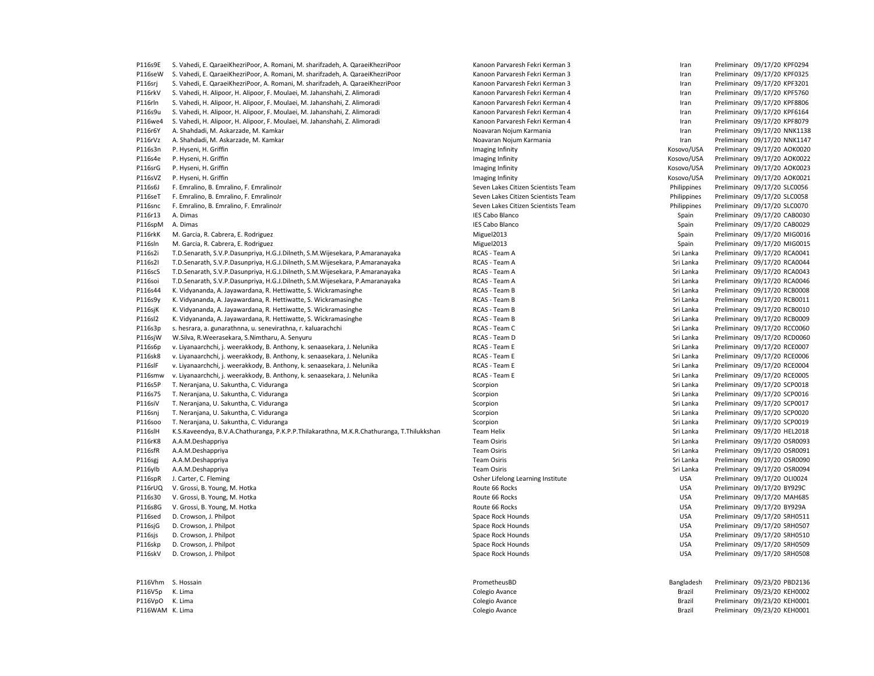P116s9E S. Vahedi, E. QaraeiKhezriPoor, A. Romani, M. sharifzadeh, A. QaraeiKhezriPoor Kanoon Parvaresh Fekri Kerman 3 Iran Preliminary 09/17/20 KPF0294 P116seW S. Vahedi, E. QaraeiKhezriPoor, A. Romani, M. sharifzadeh, A. QaraeiKhezriPoor Kanoon Parvaresh Fekri Kerman 3 Iran Preliminary 09/17/20 KPF0325 P116sri S. Vahedi, E. QaraeiKhezriPoor, A. Romani, M. sharifzadeh, A. QaraeiKhezriPoor Kanoon Parvaresh Fekri Kerman 3 Iran Preliminary 09/17/20 KPF3201 P116rkV S. Vahedi, H. Alipoor, H. Alipoor, F. Moulaei, M. Jahanshahi, Z. Alimoradi **Kanoon Parvaresh Fekri Kerman 4** Iran Preliminary 09/17/20 KPF5760 P116rln S. Vahedi, H. Alipoor, H. Alipoor, F. Moulaei, M. Jahanshahi, Z. Alimoradi **Kanoon Parvaresh Fekri Kerman 4** Iran Preliminary 09/17/20 KPF8806 P116s9u S. Vahedi, H. Alipoor, H. Alipoor, F. Moulaei, M. Jahanshahi, Z. Alimoradi **Kanoon Parvaresh Fekri Kerman 4** Iran Preliminary 09/17/20 KPF6164 P116we4 S. Vahedi, H. Alipoor, H. Alipoor, F. Moulaei, M. Jahanshahi, Z. Alimoradi **N. Jahanshahi, Z. Alimoradi** Kanoon Parvaresh Fekri Kerman 4 Iran Preliminary 09/17/20 KPF8079 P116r6Y A. Shahdadi, M. Askarzade, M. Kamkar Nobel Noavaran Noium Karmania Noium Karmania Novaran Noium Karmania Nobel Noavaran Noium Karmania Nobel Noavaran Noium Karmania Nobel North Noavaran Noium Karmania Nobel North N P116rVz A. Shahdadi, M. Askarzade, M. Kamkar Nobel Noavaran Noium Karmania Noium Karmania Novaran Noium Karmania P116s3n P. Hyseni, H. Griffin **Imaging Infinity** Maging Infinity Maging Infinity Maging Infinity Cosovo/USA Preliminary 09/17/20 AOK0020 P116s4e P. Hyseni, H. Griffin **Imaging Infinity** Imaging Infinity Imaging Infinity Cosovo/USA Preliminary 09/17/20 AOK0022 P116srG P. Hyseni, H. Griffin **Imaging Infinity** Maging Infinity Maging Infinity Maging Infinity Resovo/USA Preliminary 09/17/20 AOK0023 P116sVZ P. Hyseni, H. Griffin **Imaging Infinity** Imaging Infinity Imaging Infinity Costos and Museum Museum Computer School (Museum Museum Museum Museum Museum Museum Museum Museum Museum Museum Museum Museum Museum Museum P116s6J F. Emralino, B. Emralino, F. EmralinoJr Seven Lakes Citizen Scientists Team Philippines Preliminary 09/17/20 SLC0056 P116seT F. Emralino, B. Emralino, F. EmralinoJr Seven Lakes Citizen Scientists Team Philippines Preliminary 09/17/20 SLC0058 P116snc F. Emralino, B. Emralino, F. EmralinoJr Seven Lakes Citizen Scientists Team Philippines Preliminary 09/17/20 SLC0070 P116r13 A. Dimas **IES Cabo Blanco IES Cabo Blanco IES Cabo Blanco** Spain Preliminary 09/17/20 CAB0030 P116spM A. Dimas **IES Cabo Blanco** IES Cabo Blanco **IES Cabo Blanco Spain Spain Preliminary 09/17/20 CAB0029** P116rkK M. Garcia, R. Cabrera, E. Rodriguez Spain Spain Religions, R. Cabrera, E. Rodriguez Spain Preliminary 09/17/20 MIG0016 P116sln M. Garcia, R. Cabrera, E. Rodriguez Spain Spain Preliminary 09/17/20 MIG0015 P116s2i T.D.Senarath, S.V.P.Dasunpriya, H.G.J.Dilneth, S.M.Wijesekara, P.Amaranayaka RCAS - Team A Sri Lanka Ream A Sri Lanka Preliminary 09/17/20 RCA0041 P116s2I T.D.Senarath, S.V.P.Dasunpriya, H.G.J.Dilneth, S.M.Wijesekara, P.Amaranayaka RCAS - Team A Sri Lanka Reliminary 09/17/20 RCA0044 P116scS T.D.Senarath, S.V.P.Dasunpriya, H.G.J.Dilneth, S.M.Wijesekara, P.Amaranayaka RCAS - Team A Sri Lanka Ream A Sri Lanka Preliminary 09/17/20 RCA0043 P116soi T.D.Senarath, S.V.P.Dasunpriya, H.G.J.Dilneth, S.M.Wijesekara, P.Amaranayaka RCAS - Team A RCAS - Team A Sri Lanka Preliminary 09/17/20 RCA0046 P116s44 K. Vidyananda, A. Jayawardana, R. Hettiwatte, S. Wickramasinghe RCAS - Team B RCAS - Team B Sri Lanka Preliminary 09/17/20 RCB0008 P116s9y K. Vidyananda, A. Jayawardana, R. Hettiwatte, S. Wickramasinghe RCAS - Team B Sri Lanka Preliminary 09/17/20 RCB0011 P116sjK K. Vidyananda, A. Jayawardana, R. Hettiwatte, S. Wickramasinghe Sri Lanka Preliminary 09/17/20 RCB0010 P116sl2 K. Vidyananda, A. Jayawardana, R. Hettiwatte, S. Wickramasinghe RCAS - Team B RCAS - Team B Sri Lanka Preliminary 09/17/20 RCB0009 P116s3p s. hesrara, a. gunarathnna, u. senevirathna, r. kaluarachchi Chi RCAS - Team C Sri Lanka Preliminary 09/17/20 RCC0060 P116sjW W.Silva, R.Weerasekara, S.Nimtharu, A. Senyuru **Ream Ream State and State Act and State Act and State Act and State Act and State Act and State Act and State Act and State Act and State Act and State Act and State** P116s6p v. Livanaarchchi, i. weerakkody, B. Anthony, k. senaasekara, J. Nelunika RCAS - Team E RCAS - Team E Sri Lanka Preliminary 09/17/20 RCE0007 P116sk8 v. Liyanaarchchi, j. weerakkody, B. Anthony, k. senaasekara, J. Nelunika RCAS - Team E Sri Lanka Researchchi, j. weerakkody, B. Anthony, k. senaasekara, J. Nelunika RCAS - Team E Sri Lanka Preliminary 09/17/20 RCE0 P116slF v. Liyanaarchchi, j. weerakkody, B. Anthony, k. senaasekara, J. Nelunika RCAS - Team E RCAS - Team E Sri Lanka Regiminary 09/17/20 RCE0004 P116smw v. Liyanaarchchi, j. weerakkody, B. Anthony, k. senaasekara, J. Nelunika RCAS - Team E Sri Lanka RCAS - Team E Sri Lanka Preliminary 09/17/20 RCE0005 P116s5P T. Neranjana, U. Sakuntha, C. Viduranga Scorpion Scorpion Scorpion Scorpion Scorpion Sri Lanka Preliminary 09/17/20 SCP0018 P116s75 T. Neranjana, U. Sakuntha, C. Viduranga Scorpion Scorpion Scorpion Scorpion Sri Lanka Preliminary 09/17/20 SCP0016 P116siV T. Neranjana, U. Sakuntha, C. Viduranga Scorpion Scorpion Scorpion Scorpion Sri Lanka Preliminary 09/17/20 SCP0017 P116snj T. Neranjana, U. Sakuntha, C. Viduranga Scorpion Scorpion Scorpion Scorpion Scorpion Sri Lanka Preliminary 09/17/20 SCP0020 P116soo T. Neranjana, U. Sakuntha, C. Viduranga Scorpion Scorpion Scorpion Scorpion Scorpion Sri Lanka Preliminary 09/17/20 SCP0019 P116slH K.S.Kaveendya, B.V.A.Chathuranga, P.K.P.P.Thilakarathna, M.K.R.Chathuranga, T.Thilukkshan Team Helix Sri Lanka Sri Lanka Preliminary 09/17/20 HEL2018 P116rK8 A.A.M.Deshappriya Team Osiris Sri Lanka Preliminary 09/17/20 OSR0093 P116sfR A.A.M.Deshappriya Team Osiris Sri Lanka Preliminary 09/17/20 OSR0091 P116sgj A.A.M.Deshappriya Team Osiris Sri Lanka Preliminary 09/17/20 OSR0090 P116yIb A.A.M.Deshappriya Team Osiris Sri Lanka Preliminary 09/17/20 OSR0094 P116spR J. Carter, C. Fleming examples and the control of the Carter Lifelong Learning Institute and the USA Preliminary 09/17/20 OLI0024 P116rUQ V. Grossi, B. Young, M. Hotka **Route A. M. Hotka Route 66 Rocks** Route 66 Rocks **Preliminary 09/17/20 BY929C** P116s30 V. Grossi, B. Young, M. Hotka November 2012 of the State of Matter of Matter of Matter of Matter of Matter of Matter of Matter of Matter of Matter of Matter of Matter of Matter of Matter of Matter of Matter of Matt P116s8G V. Grossi, B. Young, M. Hotka **Route A. M. Hotka Route 66 Route 66 Route 66 Rocks** Preliminary 09/17/20 BY929A P116sed D. Crowson, J. Philpot Space Rock Hounds Space Rock Hounds Space Rock Hounds USA Preliminary 09/17/20 SRH0511 P116sjG D. Crowson, J. Philpot Change Space Rock Hounds Space Rock Hounds Space Rock Hounds Space Rock Hounds Space Rock Hounds Space Rock Hounds Space Rock Hounds Space Rock Hounds Space Rock Hounds Space Rock Hounds Spac P116sjs D. Crowson, J. Philpot Charles Space Rock Hounds Space Rock Hounds Space Rock Hounds Space Rock Hounds Space Rock Hounds Space Rock Hounds Space Rock Hounds Space Rock Hounds DSA Preliminary 09/17/20 SRH0510 P116skp D. Crowson, J. Philpot Channel Space Rock Hounds Space Rock Hounds Space Rock Hounds Space Rock Hounds Space Rock Hounds Space Rock Hounds Space Rock Hounds Space Rock Hounds DSA Preliminary 09/17/20 SRH0509 P116skV D. Crowson, J. Philpot Channel Space Rock Hounds Space Rock Hounds Space Rock Hounds Space Rock Hounds Space Rock Hounds Space Rock Hounds Space Rock Hounds Space Rock Hounds DSA Preliminary 09/17/20 SRH0508 P116Vhm S. Hossain PrometheusBD Bangladesh Preliminary 09/23/20 PBD2136 P116V5p K. Lima Colegio Avance Brazil Preliminary 09/23/20 KEH0002

P116VpO K. Lima Colegio Avance Brazil Preliminary 09/23/20 KEH0001 P116WAM K. Lima Colegio Avance Brazil Preliminary 09/23/20 KEH0001